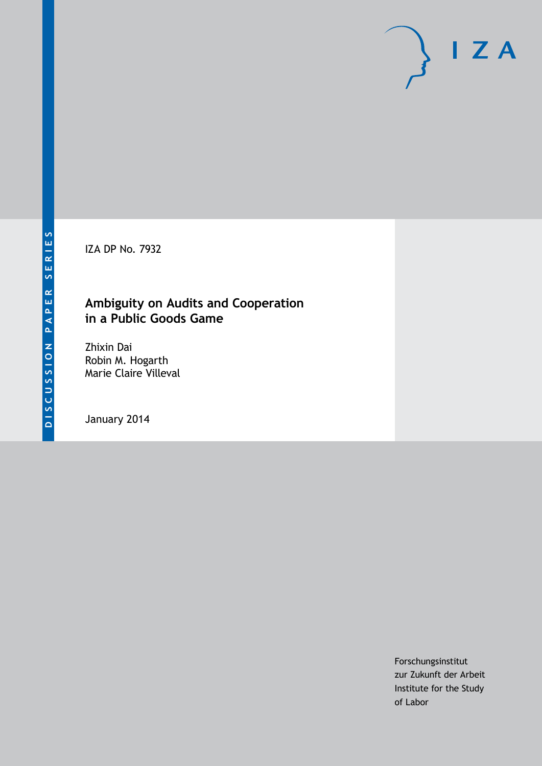IZA DP No. 7932

# **Ambiguity on Audits and Cooperation in a Public Goods Game**

Zhixin Dai Robin M. Hogarth Marie Claire Villeval

January 2014

Forschungsinstitut zur Zukunft der Arbeit Institute for the Study of Labor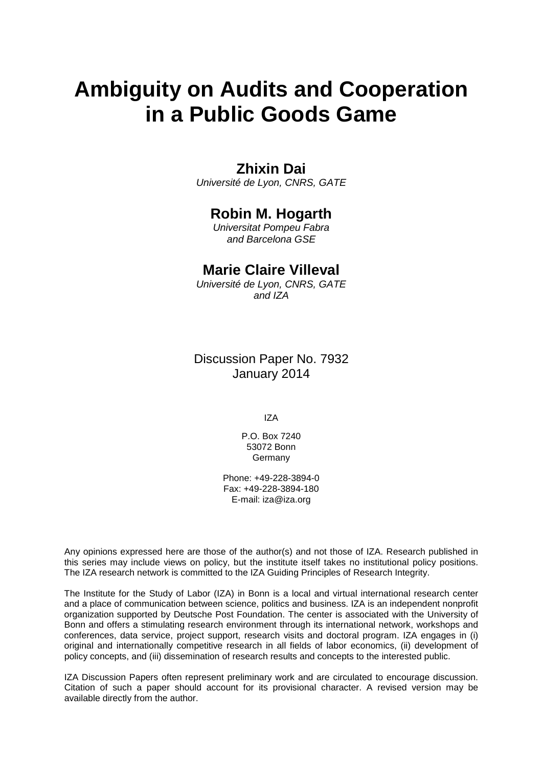# **Ambiguity on Audits and Cooperation in a Public Goods Game**

# **Zhixin Dai**

*Université de Lyon, CNRS, GATE*

# **Robin M. Hogarth**

*Universitat Pompeu Fabra and Barcelona GSE*

# **Marie Claire Villeval**

*Université de Lyon, CNRS, GATE and IZA*

Discussion Paper No. 7932 January 2014

IZA

P.O. Box 7240 53072 Bonn Germany

Phone: +49-228-3894-0 Fax: +49-228-3894-180 E-mail: [iza@iza.org](mailto:iza@iza.org)

Any opinions expressed here are those of the author(s) and not those of IZA. Research published in this series may include views on policy, but the institute itself takes no institutional policy positions. The IZA research network is committed to the IZA Guiding Principles of Research Integrity.

The Institute for the Study of Labor (IZA) in Bonn is a local and virtual international research center and a place of communication between science, politics and business. IZA is an independent nonprofit organization supported by Deutsche Post Foundation. The center is associated with the University of Bonn and offers a stimulating research environment through its international network, workshops and conferences, data service, project support, research visits and doctoral program. IZA engages in (i) original and internationally competitive research in all fields of labor economics, (ii) development of policy concepts, and (iii) dissemination of research results and concepts to the interested public.

<span id="page-1-0"></span>IZA Discussion Papers often represent preliminary work and are circulated to encourage discussion. Citation of such a paper should account for its provisional character. A revised version may be available directly from the author.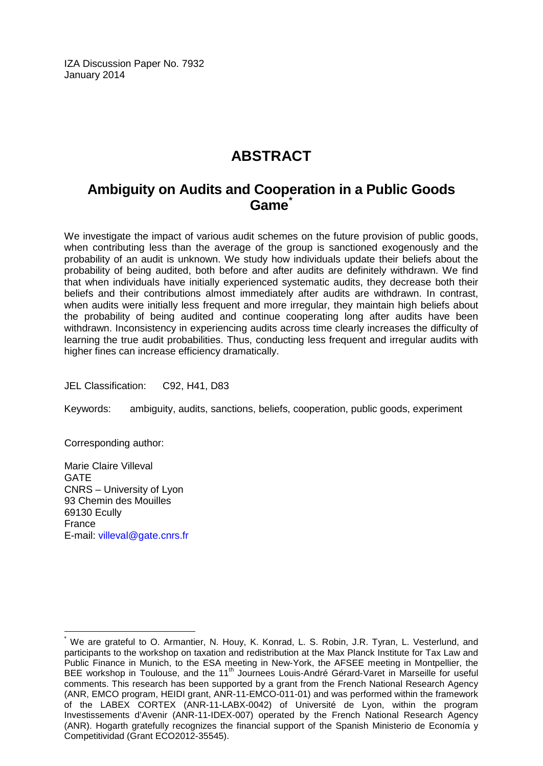IZA Discussion Paper No. 7932 January 2014

# **ABSTRACT**

# **Ambiguity on Audits and Cooperation in a Public Goods Game[\\*](#page-1-0)**

We investigate the impact of various audit schemes on the future provision of public goods, when contributing less than the average of the group is sanctioned exogenously and the probability of an audit is unknown. We study how individuals update their beliefs about the probability of being audited, both before and after audits are definitely withdrawn. We find that when individuals have initially experienced systematic audits, they decrease both their beliefs and their contributions almost immediately after audits are withdrawn. In contrast, when audits were initially less frequent and more irregular, they maintain high beliefs about the probability of being audited and continue cooperating long after audits have been withdrawn. Inconsistency in experiencing audits across time clearly increases the difficulty of learning the true audit probabilities. Thus, conducting less frequent and irregular audits with higher fines can increase efficiency dramatically.

JEL Classification: C92, H41, D83

Keywords: ambiguity, audits, sanctions, beliefs, cooperation, public goods, experiment

Corresponding author:

Marie Claire Villeval GATE CNRS – University of Lyon 93 Chemin des Mouilles 69130 Ecully France E-mail: [villeval@gate.cnrs.fr](mailto:villeval@gate.cnrs.fr)

We are grateful to O. Armantier, N. Houy, K. Konrad, L. S. Robin, J.R. Tyran, L. Vesterlund, and participants to the workshop on taxation and redistribution at the Max Planck Institute for Tax Law and Public Finance in Munich, to the ESA meeting in New-York, the AFSEE meeting in Montpellier, the BEE workshop in Toulouse, and the 11<sup>th</sup> Journees Louis-André Gérard-Varet in Marseille for useful comments. This research has been supported by a grant from the French National Research Agency (ANR, EMCO program, HEIDI grant, ANR-11-EMCO-011-01) and was performed within the framework of the LABEX CORTEX (ANR-11-LABX-0042) of Université de Lyon, within the program Investissements d'Avenir (ANR-11-IDEX-007) operated by the French National Research Agency (ANR). Hogarth gratefully recognizes the financial support of the Spanish Ministerio de Economía y Competitividad (Grant ECO2012-35545).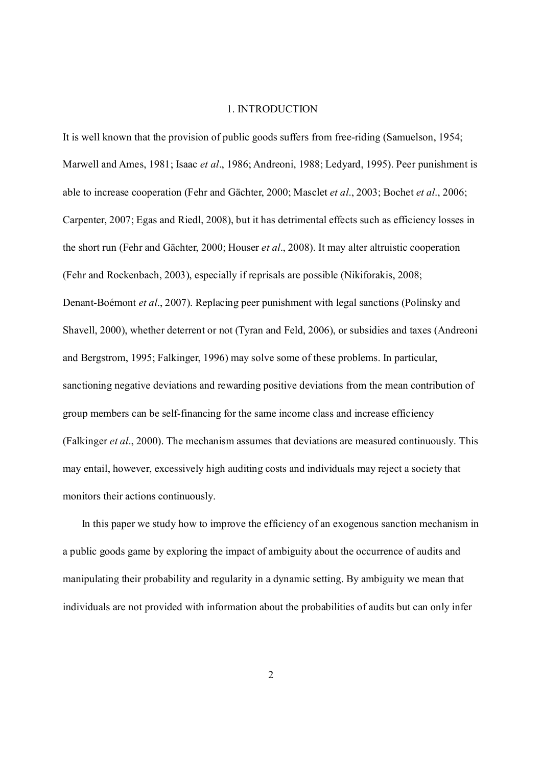#### 1. INTRODUCTION

It is well known that the provision of public goods suffers from free-riding (Samuelson, 1954; Marwell and Ames, 1981; Isaac *et al*., 1986; Andreoni, 1988; Ledyard, 1995). Peer punishment is able to increase cooperation (Fehr and Gächter, 2000; Masclet *et al*., 2003; Bochet *et al*., 2006; Carpenter, 2007; Egas and Riedl, 2008), but it has detrimental effects such as efficiency losses in the short run (Fehr and Gächter, 2000; Houser *et al*., 2008). It may alter altruistic cooperation (Fehr and Rockenbach, 2003), especially if reprisals are possible (Nikiforakis, 2008; Denant-Boémont *et al*., 2007). Replacing peer punishment with legal sanctions (Polinsky and Shavell, 2000), whether deterrent or not (Tyran and Feld, 2006), or subsidies and taxes (Andreoni and Bergstrom, 1995; Falkinger, 1996) may solve some of these problems. In particular, sanctioning negative deviations and rewarding positive deviations from the mean contribution of group members can be self-financing for the same income class and increase efficiency (Falkinger *et al*., 2000). The mechanism assumes that deviations are measured continuously. This may entail, however, excessively high auditing costs and individuals may reject a society that monitors their actions continuously.

In this paper we study how to improve the efficiency of an exogenous sanction mechanism in a public goods game by exploring the impact of ambiguity about the occurrence of audits and manipulating their probability and regularity in a dynamic setting. By ambiguity we mean that individuals are not provided with information about the probabilities of audits but can only infer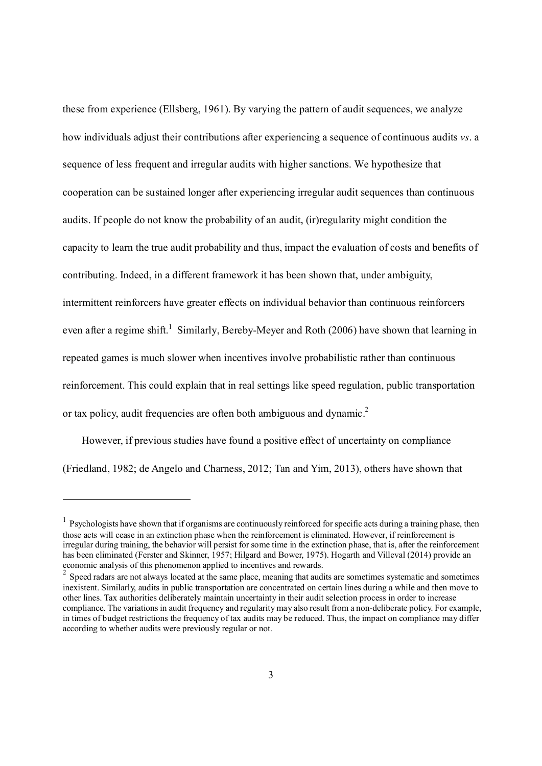these from experience (Ellsberg, 1961). By varying the pattern of audit sequences, we analyze how individuals adjust their contributions after experiencing a sequence of continuous audits *vs*. a sequence of less frequent and irregular audits with higher sanctions. We hypothesize that cooperation can be sustained longer after experiencing irregular audit sequences than continuous audits. If people do not know the probability of an audit, (ir)regularity might condition the capacity to learn the true audit probability and thus, impact the evaluation of costs and benefits of contributing. Indeed, in a different framework it has been shown that, under ambiguity, intermittent reinforcers have greater effects on individual behavior than continuous reinforcers even after a regime shift.<sup>1</sup> Similarly, Bereby-Meyer and Roth (2006) have shown that learning in repeated games is much slower when incentives involve probabilistic rather than continuous reinforcement. This could explain that in real settings like speed regulation, public transportation or tax policy, audit frequencies are often both ambiguous and dynamic.<sup>2</sup>

However, if previous studies have found a positive effect of uncertainty on compliance (Friedland, 1982; de Angelo and Charness, 2012; Tan and Yim, 2013), others have shown that

<sup>&</sup>lt;sup>1</sup> Psychologists have shown that if organisms are continuously reinforced for specific acts during a training phase, then those acts will cease in an extinction phase when the reinforcement is eliminated. However, if reinforcement is irregular during training, the behavior will persist for some time in the extinction phase, that is, after the reinforcement has been eliminated (Ferster and Skinner, 1957; Hilgard and Bower, 1975). Hogarth and Villeval (2014) provide an economic analysis of this phenomenon applied to incentives and rewards.

<sup>&</sup>lt;sup>2</sup> Speed radars are not always located at the same place, meaning that audits are sometimes systematic and sometimes inexistent. Similarly, audits in public transportation are concentrated on certain lines during a while and then move to other lines. Tax authorities deliberately maintain uncertainty in their audit selection process in order to increase compliance. The variations in audit frequency and regularity may also result from a non-deliberate policy. For example, in times of budget restrictions the frequency of tax audits may be reduced. Thus, the impact on compliance may differ according to whether audits were previously regular or not.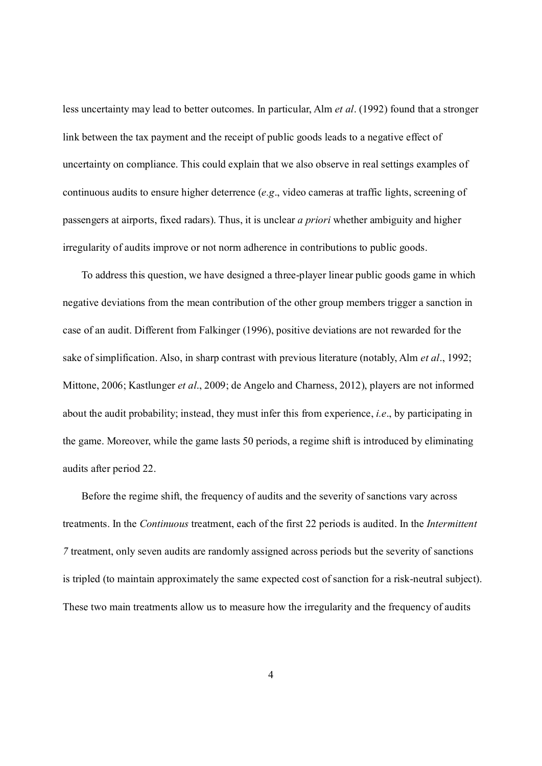less uncertainty may lead to better outcomes. In particular, Alm *et al*. (1992) found that a stronger link between the tax payment and the receipt of public goods leads to a negative effect of uncertainty on compliance. This could explain that we also observe in real settings examples of continuous audits to ensure higher deterrence (*e.g*., video cameras at traffic lights, screening of passengers at airports, fixed radars). Thus, it is unclear *a priori* whether ambiguity and higher irregularity of audits improve or not norm adherence in contributions to public goods.

To address this question, we have designed a three-player linear public goods game in which negative deviations from the mean contribution of the other group members trigger a sanction in case of an audit. Different from Falkinger (1996), positive deviations are not rewarded for the sake of simplification. Also, in sharp contrast with previous literature (notably, Alm *et al*., 1992; Mittone, 2006; Kastlunger *et al*., 2009; de Angelo and Charness, 2012), players are not informed about the audit probability; instead, they must infer this from experience, *i.e*., by participating in the game. Moreover, while the game lasts 50 periods, a regime shift is introduced by eliminating audits after period 22.

Before the regime shift, the frequency of audits and the severity of sanctions vary across treatments. In the *Continuous* treatment, each of the first 22 periods is audited. In the *Intermittent 7* treatment, only seven audits are randomly assigned across periods but the severity of sanctions is tripled (to maintain approximately the same expected cost of sanction for a risk-neutral subject). These two main treatments allow us to measure how the irregularity and the frequency of audits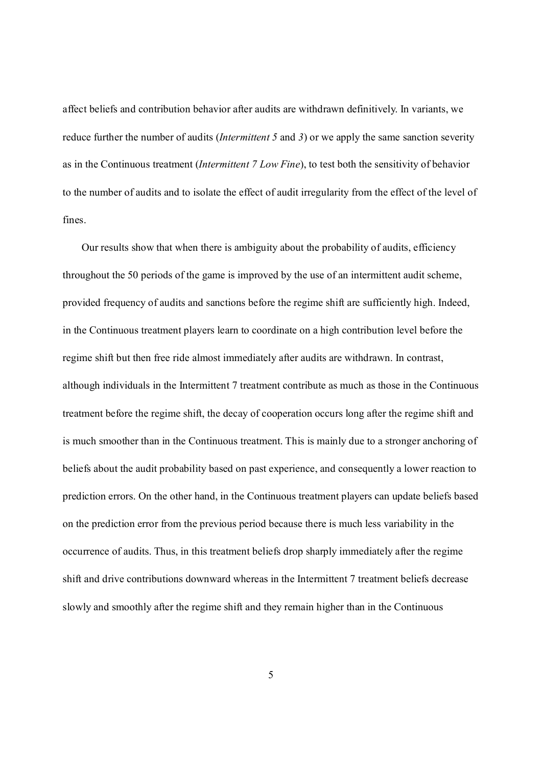affect beliefs and contribution behavior after audits are withdrawn definitively. In variants, we reduce further the number of audits (*Intermittent 5* and *3*) or we apply the same sanction severity as in the Continuous treatment (*Intermittent 7 Low Fine*), to test both the sensitivity of behavior to the number of audits and to isolate the effect of audit irregularity from the effect of the level of fines.

Our results show that when there is ambiguity about the probability of audits, efficiency throughout the 50 periods of the game is improved by the use of an intermittent audit scheme, provided frequency of audits and sanctions before the regime shift are sufficiently high. Indeed, in the Continuous treatment players learn to coordinate on a high contribution level before the regime shift but then free ride almost immediately after audits are withdrawn. In contrast, although individuals in the Intermittent 7 treatment contribute as much as those in the Continuous treatment before the regime shift, the decay of cooperation occurs long after the regime shift and is much smoother than in the Continuous treatment. This is mainly due to a stronger anchoring of beliefs about the audit probability based on past experience, and consequently a lower reaction to prediction errors. On the other hand, in the Continuous treatment players can update beliefs based on the prediction error from the previous period because there is much less variability in the occurrence of audits. Thus, in this treatment beliefs drop sharply immediately after the regime shift and drive contributions downward whereas in the Intermittent 7 treatment beliefs decrease slowly and smoothly after the regime shift and they remain higher than in the Continuous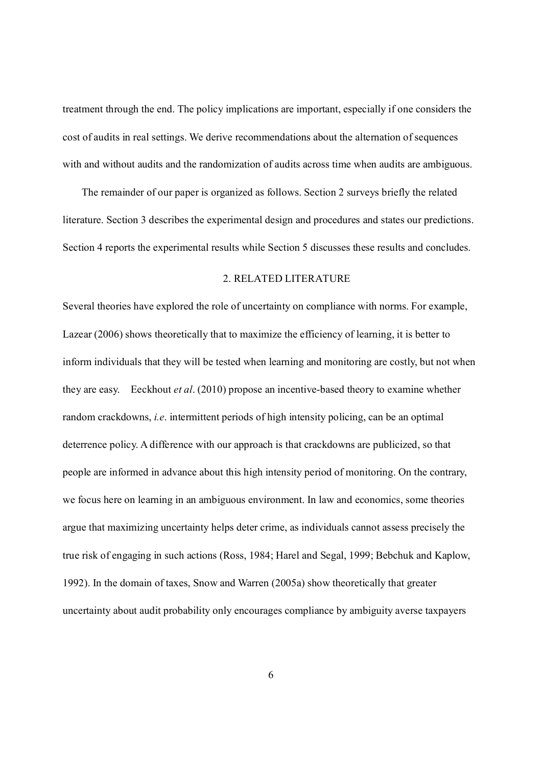treatment through the end. The policy implications are important, especially if one considers the cost of audits in real settings. We derive recommendations about the alternation of sequences with and without audits and the randomization of audits across time when audits are ambiguous.

The remainder of our paper is organized as follows. Section 2 surveys briefly the related literature. Section 3 describes the experimental design and procedures and states our predictions. Section 4 reports the experimental results while Section 5 discusses these results and concludes.

#### 2. RELATED LITERATURE

Several theories have explored the role of uncertainty on compliance with norms. For example, Lazear (2006) shows theoretically that to maximize the efficiency of learning, it is better to inform individuals that they will be tested when learning and monitoring are costly, but not when they are easy. Eeckhout *et al*. (2010) propose an incentive-based theory to examine whether random crackdowns, *i.e*. intermittent periods of high intensity policing, can be an optimal deterrence policy. A difference with our approach is that crackdowns are publicized, so that people are informed in advance about this high intensity period of monitoring. On the contrary, we focus here on learning in an ambiguous environment. In law and economics, some theories argue that maximizing uncertainty helps deter crime, as individuals cannot assess precisely the true risk of engaging in such actions (Ross, 1984; Harel and Segal, 1999; Bebchuk and Kaplow, 1992). In the domain of taxes, Snow and Warren (2005a) show theoretically that greater uncertainty about audit probability only encourages compliance by ambiguity averse taxpayers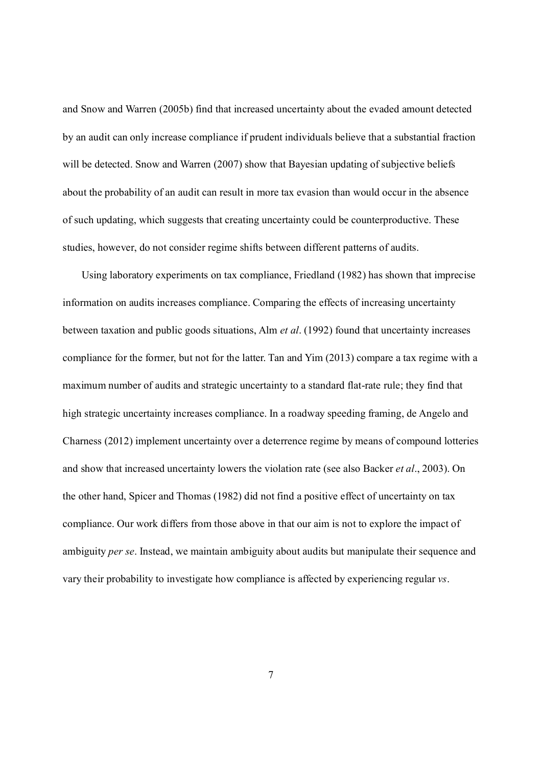and Snow and Warren (2005b) find that increased uncertainty about the evaded amount detected by an audit can only increase compliance if prudent individuals believe that a substantial fraction will be detected. Snow and Warren (2007) show that Bayesian updating of subjective beliefs about the probability of an audit can result in more tax evasion than would occur in the absence of such updating, which suggests that creating uncertainty could be counterproductive. These studies, however, do not consider regime shifts between different patterns of audits.

Using laboratory experiments on tax compliance, Friedland (1982) has shown that imprecise information on audits increases compliance. Comparing the effects of increasing uncertainty between taxation and public goods situations, Alm *et al*. (1992) found that uncertainty increases compliance for the former, but not for the latter. Tan and Yim (2013) compare a tax regime with a maximum number of audits and strategic uncertainty to a standard flat-rate rule; they find that high strategic uncertainty increases compliance. In a roadway speeding framing, de Angelo and Charness (2012) implement uncertainty over a deterrence regime by means of compound lotteries and show that increased uncertainty lowers the violation rate (see also Backer *et al*., 2003). On the other hand, Spicer and Thomas (1982) did not find a positive effect of uncertainty on tax compliance. Our work differs from those above in that our aim is not to explore the impact of ambiguity *per se*. Instead, we maintain ambiguity about audits but manipulate their sequence and vary their probability to investigate how compliance is affected by experiencing regular *vs*.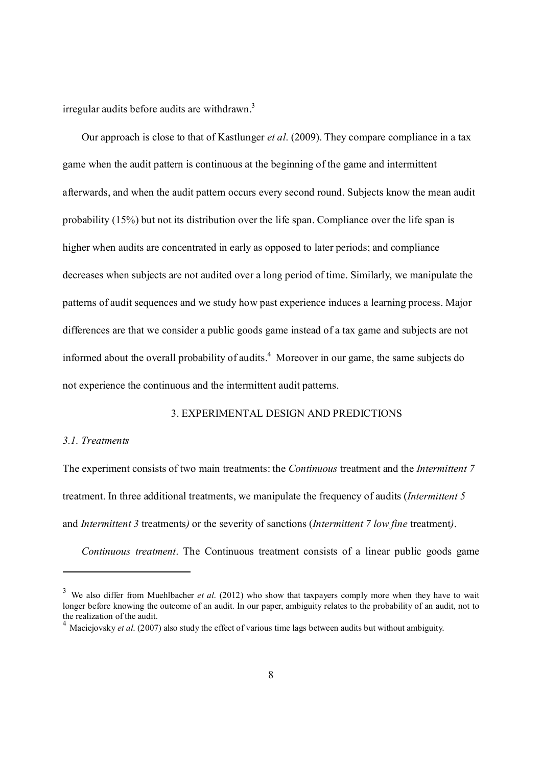irregular audits before audits are withdrawn.<sup>3</sup>

Our approach is close to that of Kastlunger *et al*. (2009). They compare compliance in a tax game when the audit pattern is continuous at the beginning of the game and intermittent afterwards, and when the audit pattern occurs every second round. Subjects know the mean audit probability (15%) but not its distribution over the life span. Compliance over the life span is higher when audits are concentrated in early as opposed to later periods; and compliance decreases when subjects are not audited over a long period of time. Similarly, we manipulate the patterns of audit sequences and we study how past experience induces a learning process. Major differences are that we consider a public goods game instead of a tax game and subjects are not informed about the overall probability of audits.<sup>4</sup> Moreover in our game, the same subjects do not experience the continuous and the intermittent audit patterns.

### 3. EXPERIMENTAL DESIGN AND PREDICTIONS

#### *3.1. Treatments*

-

The experiment consists of two main treatments: the *Continuous* treatment and the *Intermittent 7*  treatment. In three additional treatments, we manipulate the frequency of audits (*Intermittent 5*  and *Intermittent 3* treatments*)* or the severity of sanctions (*Intermittent 7 low fine* treatment*)*.

*Continuous treatment*. The Continuous treatment consists of a linear public goods game

<sup>&</sup>lt;sup>3</sup> We also differ from Muehlbacher *et al.* (2012) who show that taxpayers comply more when they have to wait longer before knowing the outcome of an audit. In our paper, ambiguity relates to the probability of an audit, not to the realization of the audit.

<sup>4</sup> Maciejovsky *et al*. (2007) also study the effect of various time lags between audits but without ambiguity.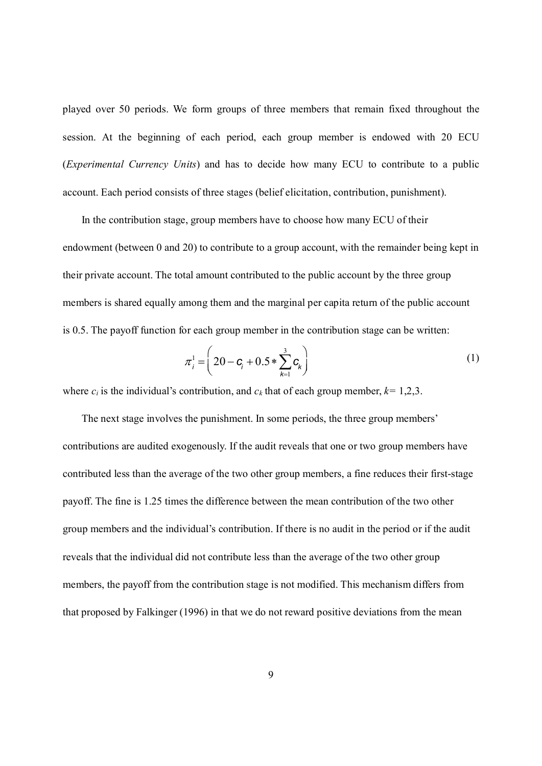played over 50 periods. We form groups of three members that remain fixed throughout the session. At the beginning of each period, each group member is endowed with 20 ECU (*Experimental Currency Units*) and has to decide how many ECU to contribute to a public account. Each period consists of three stages (belief elicitation, contribution, punishment).

In the contribution stage, group members have to choose how many ECU of their endowment (between 0 and 20) to contribute to a group account, with the remainder being kept in their private account. The total amount contributed to the public account by the three group members is shared equally among them and the marginal per capita return of the public account is 0.5. The payoff function for each group member in the contribution stage can be written:

$$
\pi_i^1 = \left(20 - \mathbf{C}_i + 0.5 * \sum_{k=1}^3 \mathbf{C}_k\right)
$$
 (1)

where  $c_i$  is the individual's contribution, and  $c_k$  that of each group member,  $k=1,2,3$ .

The next stage involves the punishment. In some periods, the three group members' contributions are audited exogenously. If the audit reveals that one or two group members have contributed less than the average of the two other group members, a fine reduces their first-stage payoff. The fine is 1.25 times the difference between the mean contribution of the two other group members and the individual's contribution. If there is no audit in the period or if the audit reveals that the individual did not contribute less than the average of the two other group members, the payoff from the contribution stage is not modified. This mechanism differs from that proposed by Falkinger (1996) in that we do not reward positive deviations from the mean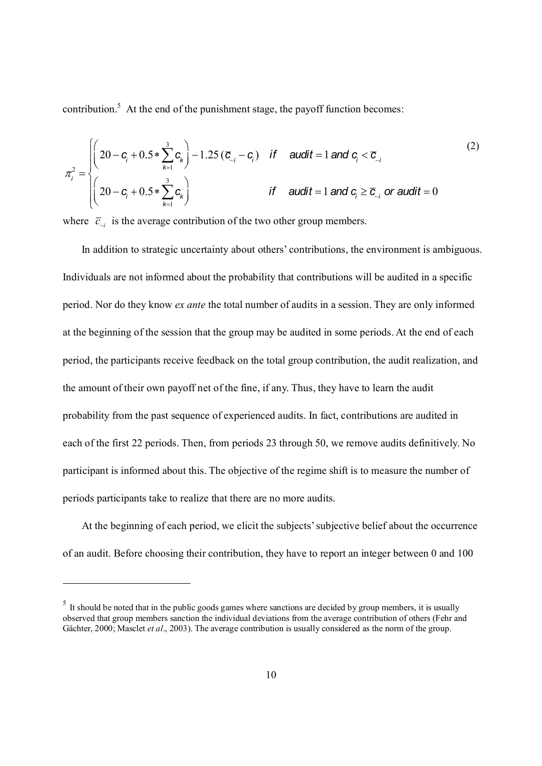contribution. $5$  At the end of the punishment stage, the payoff function becomes:

$$
\pi_i^2 = \begin{cases}\n\left(20 - \mathbf{C}_i + 0.5 * \sum_{k=1}^3 \mathbf{C}_k\right) - 1.25 (\overline{\mathbf{C}}_{-i} - \mathbf{C}_i) & \text{if } \text{ audit} = 1 \text{ and } \mathbf{C}_i < \overline{\mathbf{C}}_{-i} \\
\left(20 - \mathbf{C}_i + 0.5 * \sum_{k=1}^3 \mathbf{C}_k\right) & \text{if } \text{ audit} = 1 \text{ and } \mathbf{C}_i \ge \overline{\mathbf{C}}_{-i} \text{ or audit} = 0\n\end{cases}
$$
\n(2)

where  $\overline{c}_{i}$  is the average contribution of the two other group members.

In addition to strategic uncertainty about others' contributions, the environment is ambiguous. Individuals are not informed about the probability that contributions will be audited in a specific period. Nor do they know *ex ante* the total number of audits in a session. They are only informed at the beginning of the session that the group may be audited in some periods. At the end of each period, the participants receive feedback on the total group contribution, the audit realization, and the amount of their own payoff net of the fine, if any. Thus, they have to learn the audit probability from the past sequence of experienced audits. In fact, contributions are audited in each of the first 22 periods. Then, from periods 23 through 50, we remove audits definitively. No participant is informed about this. The objective of the regime shift is to measure the number of periods participants take to realize that there are no more audits.

At the beginning of each period, we elicit the subjects' subjective belief about the occurrence of an audit. Before choosing their contribution, they have to report an integer between 0 and 100

 $<sup>5</sup>$  It should be noted that in the public goods games where sanctions are decided by group members, it is usually</sup> observed that group members sanction the individual deviations from the average contribution of others (Fehr and Gächter, 2000; Masclet *et al*., 2003). The average contribution is usually considered as the norm of the group.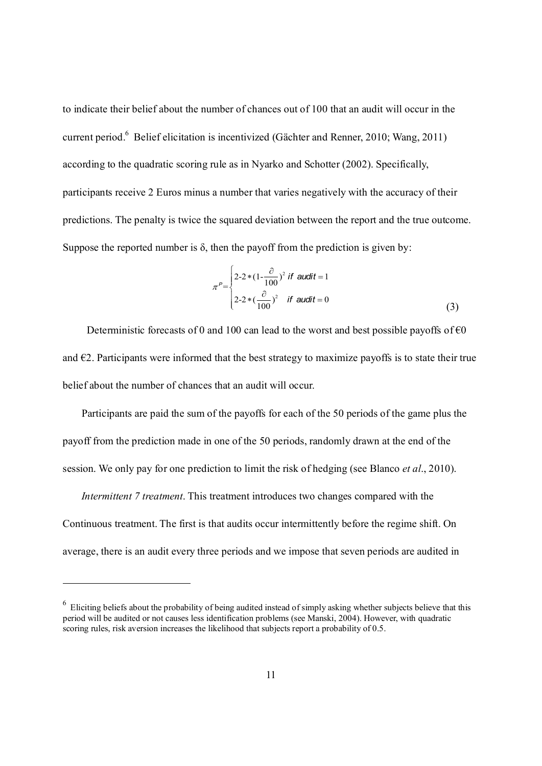to indicate their belief about the number of chances out of 100 that an audit will occur in the current period.<sup>6</sup> Belief elicitation is incentivized (Gächter and Renner, 2010; Wang, 2011) according to the quadratic scoring rule as in Nyarko and Schotter (2002). Specifically, participants receive 2 Euros minus a number that varies negatively with the accuracy of their predictions. The penalty is twice the squared deviation between the report and the true outcome. Suppose the reported number is  $\delta$ , then the payoff from the prediction is given by:

 (3) <sup>p</sup>*<sup>P</sup>*= 2-2\*(1- ¶ <sup>100</sup> ) <sup>2</sup> *if audit* = 1 2-2\*( ¶ <sup>100</sup> ) <sup>2</sup> *if audit* = 0 ì í ïï î ï ï

Deterministic forecasts of 0 and 100 can lead to the worst and best possible payoffs of  $\epsilon$ 0 and  $\epsilon$ 2. Participants were informed that the best strategy to maximize payoffs is to state their true belief about the number of chances that an audit will occur.

Participants are paid the sum of the payoffs for each of the 50 periods of the game plus the payoff from the prediction made in one of the 50 periods, randomly drawn at the end of the session. We only pay for one prediction to limit the risk of hedging (see Blanco *et al*., 2010).

*Intermittent 7 treatment*. This treatment introduces two changes compared with the Continuous treatment. The first is that audits occur intermittently before the regime shift. On average, there is an audit every three periods and we impose that seven periods are audited in

 $6$  Eliciting beliefs about the probability of being audited instead of simply asking whether subjects believe that this period will be audited or not causes less identification problems (see Manski, 2004). However, with quadratic scoring rules, risk aversion increases the likelihood that subjects report a probability of 0.5.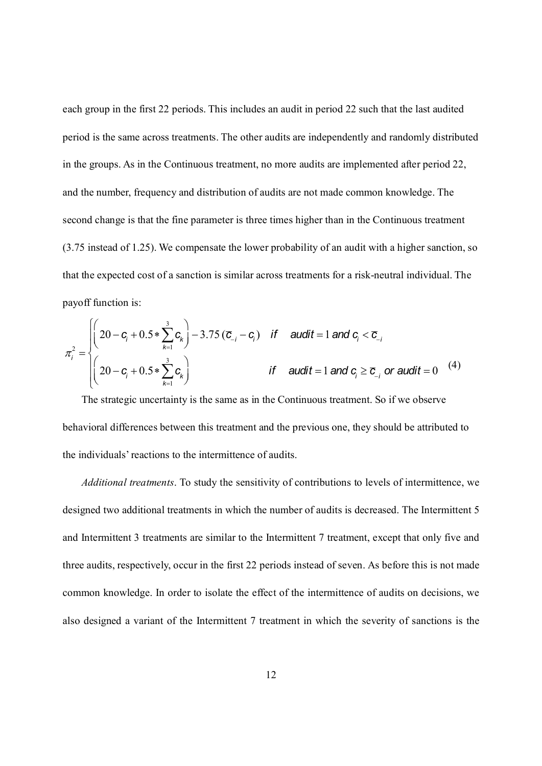each group in the first 22 periods. This includes an audit in period 22 such that the last audited period is the same across treatments. The other audits are independently and randomly distributed in the groups. As in the Continuous treatment, no more audits are implemented after period 22, and the number, frequency and distribution of audits are not made common knowledge. The second change is that the fine parameter is three times higher than in the Continuous treatment (3.75 instead of 1.25). We compensate the lower probability of an audit with a higher sanction, so that the expected cost of a sanction is similar across treatments for a risk-neutral individual. The payoff function is:

$$
\pi_i^2 = \begin{cases}\n\left(20 - c_i + 0.5 * \sum_{k=1}^3 c_k\right) - 3.75 (\overline{c}_{-i} - c_i) & \text{if } \text{ audit} = 1 \text{ and } c_i < \overline{c}_{-i} \\
\left(20 - c_i + 0.5 * \sum_{k=1}^3 c_k\right) & \text{if } \text{ audit} = 1 \text{ and } c_i \ge \overline{c}_{-i} \text{ or audit} = 0\n\end{cases}
$$
\n(4)

 The strategic uncertainty is the same as in the Continuous treatment. So if we observe behavioral differences between this treatment and the previous one, they should be attributed to the individuals' reactions to the intermittence of audits.

*Additional treatments*. To study the sensitivity of contributions to levels of intermittence, we designed two additional treatments in which the number of audits is decreased. The Intermittent 5 and Intermittent 3 treatments are similar to the Intermittent 7 treatment, except that only five and three audits, respectively, occur in the first 22 periods instead of seven. As before this is not made common knowledge. In order to isolate the effect of the intermittence of audits on decisions, we also designed a variant of the Intermittent 7 treatment in which the severity of sanctions is the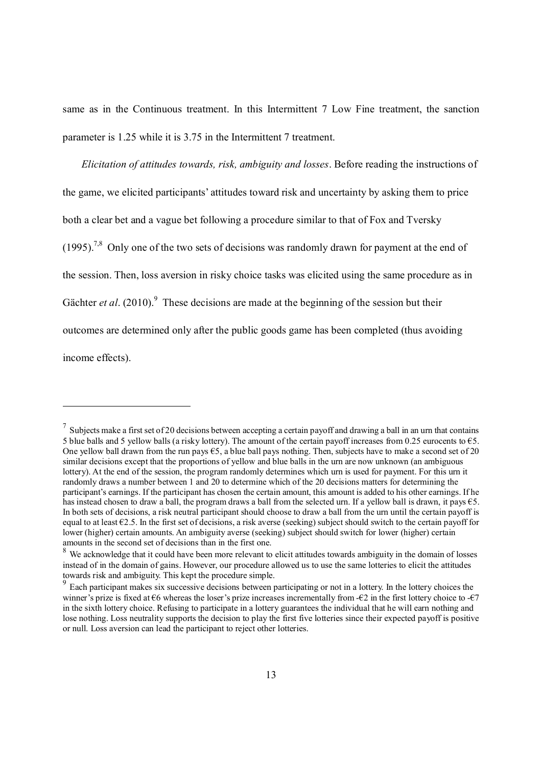same as in the Continuous treatment. In this Intermittent 7 Low Fine treatment, the sanction parameter is 1.25 while it is 3.75 in the Intermittent 7 treatment.

*Elicitation of attitudes towards, risk, ambiguity and losses*. Before reading the instructions of the game, we elicited participants' attitudes toward risk and uncertainty by asking them to price both a clear bet and a vague bet following a procedure similar to that of Fox and Tversky  $(1995)$ <sup>7,8</sup> Only one of the two sets of decisions was randomly drawn for payment at the end of the session. Then, loss aversion in risky choice tasks was elicited using the same procedure as in Gächter *et al.*  $(2010)$ . These decisions are made at the beginning of the session but their outcomes are determined only after the public goods game has been completed (thus avoiding income effects).

<sup>&</sup>lt;sup>7</sup> Subjects make a first set of 20 decisions between accepting a certain payoff and drawing a ball in an urn that contains 5 blue balls and 5 yellow balls (a risky lottery). The amount of the certain payoff increases from 0.25 eurocents to  $\epsilon$ 5. One yellow ball drawn from the run pays €5, a blue ball pays nothing. Then, subjects have to make a second set of 20 similar decisions except that the proportions of yellow and blue balls in the urn are now unknown (an ambiguous lottery). At the end of the session, the program randomly determines which urn is used for payment. For this urn it randomly draws a number between 1 and 20 to determine which of the 20 decisions matters for determining the participant's earnings. If the participant has chosen the certain amount, this amount is added to his other earnings. If he has instead chosen to draw a ball, the program draws a ball from the selected urn. If a yellow ball is drawn, it pays €5. In both sets of decisions, a risk neutral participant should choose to draw a ball from the urn until the certain payoff is equal to at least  $\epsilon$ 2.5. In the first set of decisions, a risk averse (seeking) subject should switch to the certain payoff for lower (higher) certain amounts. An ambiguity averse (seeking) subject should switch for lower (higher) certain amounts in the second set of decisions than in the first one.

<sup>&</sup>lt;sup>8</sup> We acknowledge that it could have been more relevant to elicit attitudes towards ambiguity in the domain of losses instead of in the domain of gains. However, our procedure allowed us to use the same lotteries to elicit the attitudes towards risk and ambiguity. This kept the procedure simple.

<sup>&</sup>lt;sup>9</sup> Each participant makes six successive decisions between participating or not in a lottery. In the lottery choices the winner's prize is fixed at  $\epsilon$ 6 whereas the loser's prize increases incrementally from - $\epsilon$ 2 in the first lottery choice to - $\epsilon$ 7 in the sixth lottery choice. Refusing to participate in a lottery guarantees the individual that he will earn nothing and lose nothing. Loss neutrality supports the decision to play the first five lotteries since their expected payoff is positive or null. Loss aversion can lead the participant to reject other lotteries.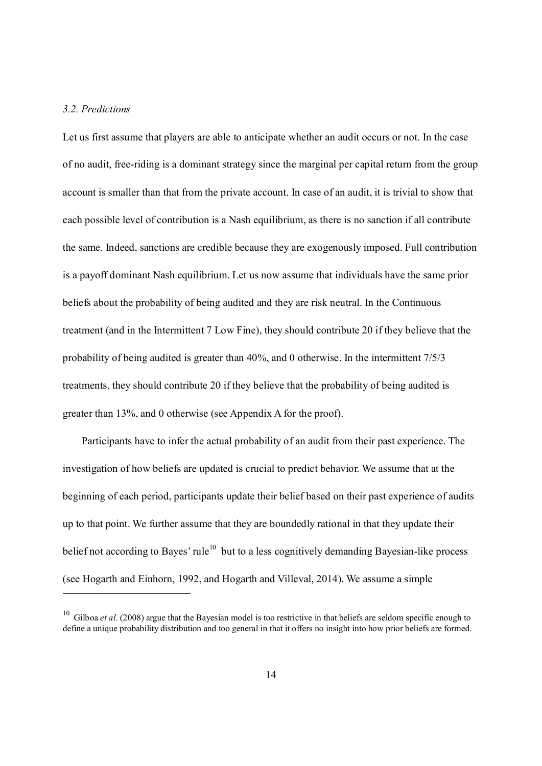#### *3.2. Predictions*

-

Let us first assume that players are able to anticipate whether an audit occurs or not. In the case of no audit, free-riding is a dominant strategy since the marginal per capital return from the group account is smaller than that from the private account. In case of an audit, it is trivial to show that each possible level of contribution is a Nash equilibrium, as there is no sanction if all contribute the same. Indeed, sanctions are credible because they are exogenously imposed. Full contribution is a payoff dominant Nash equilibrium. Let us now assume that individuals have the same prior beliefs about the probability of being audited and they are risk neutral. In the Continuous treatment (and in the Intermittent 7 Low Fine), they should contribute 20 if they believe that the probability of being audited is greater than 40%, and 0 otherwise. In the intermittent 7/5/3 treatments, they should contribute 20 if they believe that the probability of being audited is greater than 13%, and 0 otherwise (see Appendix A for the proof).

Participants have to infer the actual probability of an audit from their past experience. The investigation of how beliefs are updated is crucial to predict behavior. We assume that at the beginning of each period, participants update their belief based on their past experience of audits up to that point. We further assume that they are boundedly rational in that they update their belief not according to Bayes' rule<sup>10</sup> but to a less cognitively demanding Bayesian-like process (see Hogarth and Einhorn, 1992, and Hogarth and Villeval, 2014). We assume a simple

<sup>&</sup>lt;sup>10</sup> Gilboa *et al.* (2008) argue that the Bayesian model is too restrictive in that beliefs are seldom specific enough to define a unique probability distribution and too general in that it offers no insight into how prior beliefs are formed.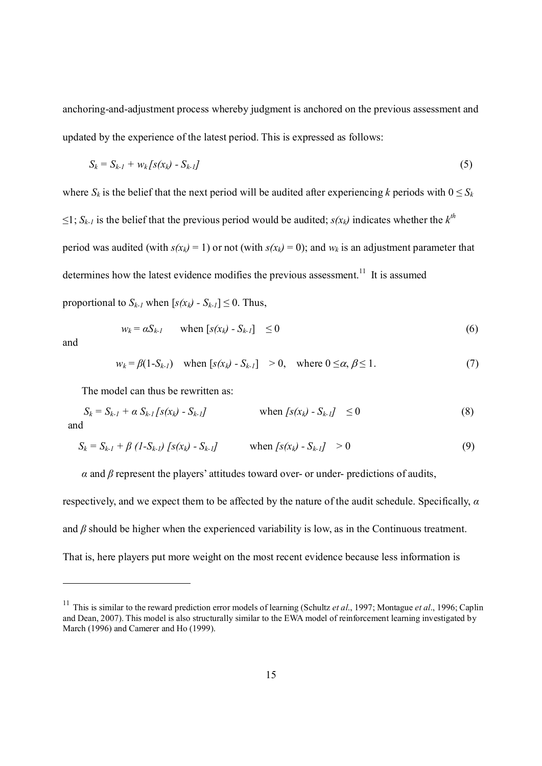anchoring-and-adjustment process whereby judgment is anchored on the previous assessment and updated by the experience of the latest period. This is expressed as follows:

$$
S_k = S_{k-1} + w_k [s(x_k) - S_{k-1}]
$$
\n(5)

where  $S_k$  is the belief that the next period will be audited after experiencing *k* periods with  $0 \leq S_k$ ≤1; *S<sub>k-1</sub>* is the belief that the previous period would be audited; *s*(*x<sub>k</sub>*) indicates whether the *k*<sup>*th*</sup> period was audited (with  $s(x_k) = 1$ ) or not (with  $s(x_k) = 0$ ); and  $w_k$  is an adjustment parameter that determines how the latest evidence modifies the previous assessment.<sup>11</sup> It is assumed proportional to  $S_{k-1}$  when  $[s(x_k) - S_{k-1}] \leq 0$ . Thus,

$$
w_k = \alpha S_{k-l} \qquad \text{when } [s(x_k) - S_{k-l}] \le 0 \tag{6}
$$

and

-

$$
w_k = \beta(1 - S_{k-1}) \quad \text{when } [s(x_k) - S_{k-1}] \ge 0, \quad \text{where } 0 \le \alpha, \beta \le 1. \tag{7}
$$

The model can thus be rewritten as:

$$
S_k = S_{k-1} + \alpha S_{k-1} [s(x_k) - S_{k-1}] \qquad \text{when } [s(x_k) - S_{k-1}] \le 0
$$
 (8)

$$
S_k = S_{k-l} + \beta (1 - S_{k-l}) [s(x_k) - S_{k-l}] \qquad \text{when } [s(x_k) - S_{k-l}] > 0 \tag{9}
$$

 $\alpha$  and  $\beta$  represent the players' attitudes toward over- or under- predictions of audits,

respectively, and we expect them to be affected by the nature of the audit schedule. Specifically, *α* and  $\beta$  should be higher when the experienced variability is low, as in the Continuous treatment. That is, here players put more weight on the most recent evidence because less information is

<sup>&</sup>lt;sup>11</sup> This is similar to the reward prediction error models of learning (Schultz *et al.*, 1997; Montague *et al.*, 1996; Caplin and Dean, 2007). This model is also structurally similar to the EWA model of reinforcement learning investigated by March (1996) and Camerer and Ho (1999).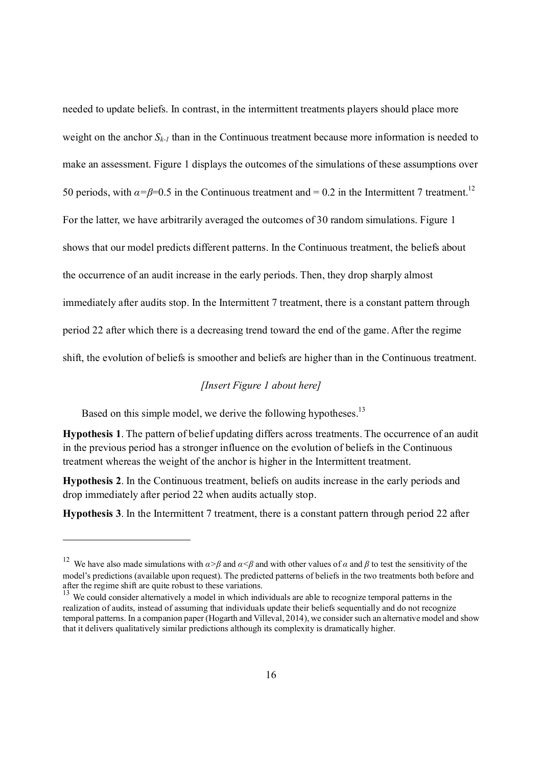needed to update beliefs. In contrast, in the intermittent treatments players should place more weight on the anchor  $S_{k-1}$  than in the Continuous treatment because more information is needed to make an assessment. Figure 1 displays the outcomes of the simulations of these assumptions over 50 periods, with  $\alpha = \beta = 0.5$  in the Continuous treatment and = 0.2 in the Intermittent 7 treatment.<sup>12</sup> For the latter, we have arbitrarily averaged the outcomes of 30 random simulations. Figure 1 shows that our model predicts different patterns. In the Continuous treatment, the beliefs about the occurrence of an audit increase in the early periods. Then, they drop sharply almost immediately after audits stop. In the Intermittent 7 treatment, there is a constant pattern through period 22 after which there is a decreasing trend toward the end of the game. After the regime shift, the evolution of beliefs is smoother and beliefs are higher than in the Continuous treatment.

# *[Insert Figure 1 about here]*

Based on this simple model, we derive the following hypotheses.<sup>13</sup>

-

Hypothesis 1. The pattern of belief updating differs across treatments. The occurrence of an audit in the previous period has a stronger influence on the evolution of beliefs in the Continuous treatment whereas the weight of the anchor is higher in the Intermittent treatment.

Hypothesis 2. In the Continuous treatment, beliefs on audits increase in the early periods and drop immediately after period 22 when audits actually stop.

Hypothesis 3. In the Intermittent 7 treatment, there is a constant pattern through period 22 after

<sup>&</sup>lt;sup>12</sup> We have also made simulations with  $\alpha > \beta$  and  $\alpha < \beta$  and with other values of  $\alpha$  and  $\beta$  to test the sensitivity of the model's predictions (available upon request). The predicted patterns of beliefs in the two treatments both before and after the regime shift are quite robust to these variations.

<sup>&</sup>lt;sup>13</sup> We could consider alternatively a model in which individuals are able to recognize temporal patterns in the realization of audits, instead of assuming that individuals update their beliefs sequentially and do not recognize temporal patterns. In a companion paper (Hogarth and Villeval, 2014), we consider such an alternative model and show that it delivers qualitatively similar predictions although its complexity is dramatically higher.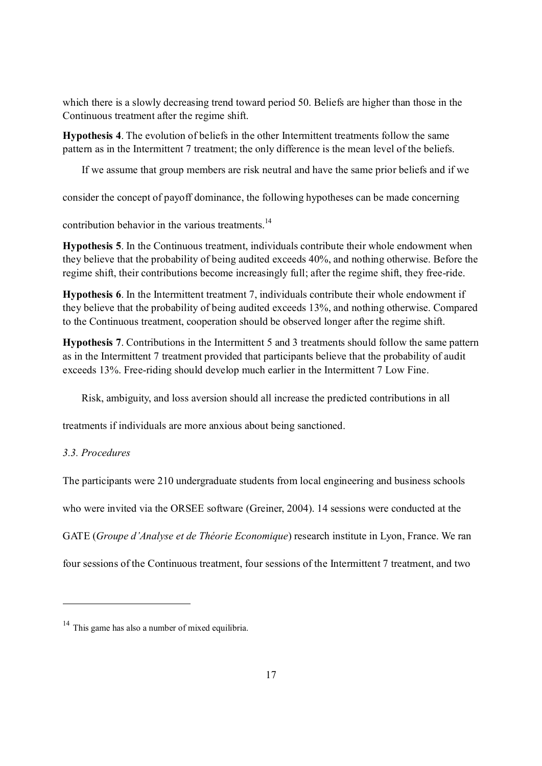which there is a slowly decreasing trend toward period 50. Beliefs are higher than those in the Continuous treatment after the regime shift.

Hypothesis 4. The evolution of beliefs in the other Intermittent treatments follow the same pattern as in the Intermittent 7 treatment; the only difference is the mean level of the beliefs.

If we assume that group members are risk neutral and have the same prior beliefs and if we

consider the concept of payoff dominance, the following hypotheses can be made concerning

contribution behavior in the various treatments.<sup>14</sup>

Hypothesis 5. In the Continuous treatment, individuals contribute their whole endowment when they believe that the probability of being audited exceeds 40%, and nothing otherwise. Before the regime shift, their contributions become increasingly full; after the regime shift, they free-ride.

Hypothesis 6. In the Intermittent treatment 7, individuals contribute their whole endowment if they believe that the probability of being audited exceeds 13%, and nothing otherwise. Compared to the Continuous treatment, cooperation should be observed longer after the regime shift.

Hypothesis 7. Contributions in the Intermittent 5 and 3 treatments should follow the same pattern as in the Intermittent 7 treatment provided that participants believe that the probability of audit exceeds 13%. Free-riding should develop much earlier in the Intermittent 7 Low Fine.

Risk, ambiguity, and loss aversion should all increase the predicted contributions in all

treatments if individuals are more anxious about being sanctioned.

### *3.3. Procedures*

-

The participants were 210 undergraduate students from local engineering and business schools

who were invited via the ORSEE software (Greiner, 2004). 14 sessions were conducted at the

GATE (*Groupe d'Analyse et de Théorie Economique*) research institute in Lyon, France. We ran

four sessions of the Continuous treatment, four sessions of the Intermittent 7 treatment, and two

<sup>&</sup>lt;sup>14</sup> This game has also a number of mixed equilibria.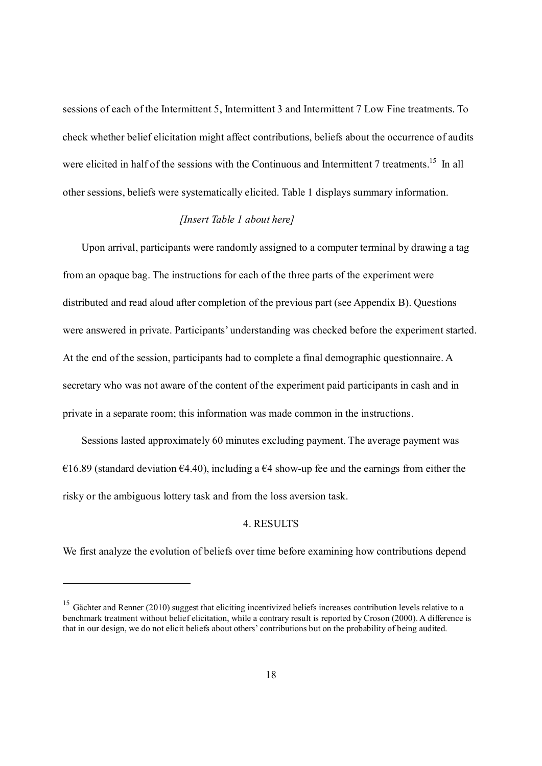sessions of each of the Intermittent 5, Intermittent 3 and Intermittent 7 Low Fine treatments. To check whether belief elicitation might affect contributions, beliefs about the occurrence of audits were elicited in half of the sessions with the Continuous and Intermittent 7 treatments.<sup>15</sup> In all other sessions, beliefs were systematically elicited. Table 1 displays summary information.

### *[Insert Table 1 about here]*

Upon arrival, participants were randomly assigned to a computer terminal by drawing a tag from an opaque bag. The instructions for each of the three parts of the experiment were distributed and read aloud after completion of the previous part (see Appendix B). Questions were answered in private. Participants' understanding was checked before the experiment started. At the end of the session, participants had to complete a final demographic questionnaire. A secretary who was not aware of the content of the experiment paid participants in cash and in private in a separate room; this information was made common in the instructions.

Sessions lasted approximately 60 minutes excluding payment. The average payment was €16.89 (standard deviation €4.40), including a €4 show-up fee and the earnings from either the risky or the ambiguous lottery task and from the loss aversion task.

### 4. RESULTS

We first analyze the evolution of beliefs over time before examining how contributions depend

<sup>&</sup>lt;sup>15</sup> Gächter and Renner (2010) suggest that eliciting incentivized beliefs increases contribution levels relative to a benchmark treatment without belief elicitation, while a contrary result is reported by Croson (2000). A difference is that in our design, we do not elicit beliefs about others' contributions but on the probability of being audited.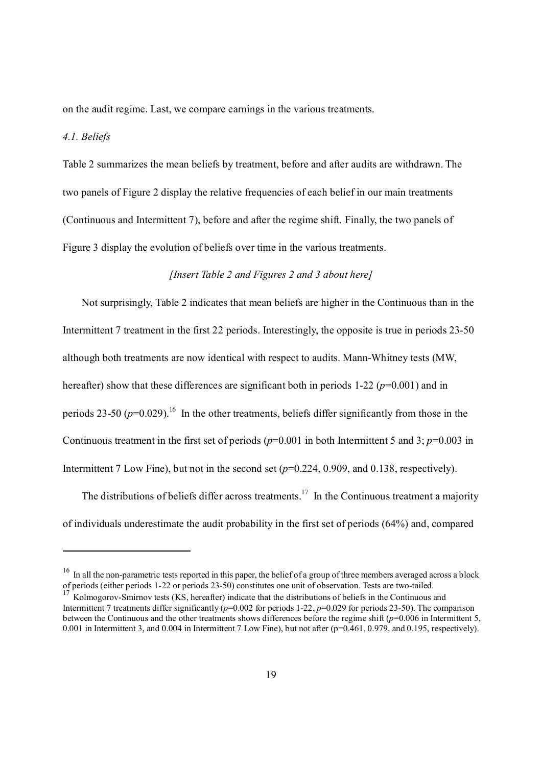on the audit regime. Last, we compare earnings in the various treatments.

### *4.1. Beliefs*

-

Table 2 summarizes the mean beliefs by treatment, before and after audits are withdrawn. The two panels of Figure 2 display the relative frequencies of each belief in our main treatments (Continuous and Intermittent 7), before and after the regime shift. Finally, the two panels of Figure 3 display the evolution of beliefs over time in the various treatments.

### *[Insert Table 2 and Figures 2 and 3 about here]*

Not surprisingly, Table 2 indicates that mean beliefs are higher in the Continuous than in the Intermittent 7 treatment in the first 22 periods. Interestingly, the opposite is true in periods 23-50 although both treatments are now identical with respect to audits. Mann-Whitney tests (MW, hereafter) show that these differences are significant both in periods 1-22 ( $p=0.001$ ) and in periods 23-50  $(p=0.029)$ .<sup>16</sup> In the other treatments, beliefs differ significantly from those in the Continuous treatment in the first set of periods  $(p=0.001$  in both Intermittent 5 and 3;  $p=0.003$  in Intermittent 7 Low Fine), but not in the second set ( $p=0.224$ , 0.909, and 0.138, respectively).

The distributions of beliefs differ across treatments.<sup>17</sup> In the Continuous treatment a majority of individuals underestimate the audit probability in the first set of periods (64%) and, compared

 $16$  In all the non-parametric tests reported in this paper, the belief of a group of three members averaged across a block of periods (either periods 1-22 or periods 23-50) constitutes one unit of observation. Tests are two-tailed.

<sup>&</sup>lt;sup>17</sup> Kolmogorov-Smirnov tests (KS, hereafter) indicate that the distributions of beliefs in the Continuous and Intermittent 7 treatments differ significantly  $(p=0.002$  for periods 1-22,  $p=0.029$  for periods 23-50). The comparison between the Continuous and the other treatments shows differences before the regime shift (*p*=0.006 in Intermittent 5, 0.001 in Intermittent 3, and 0.004 in Intermittent 7 Low Fine), but not after ( $p=0.461$ , 0.979, and 0.195, respectively).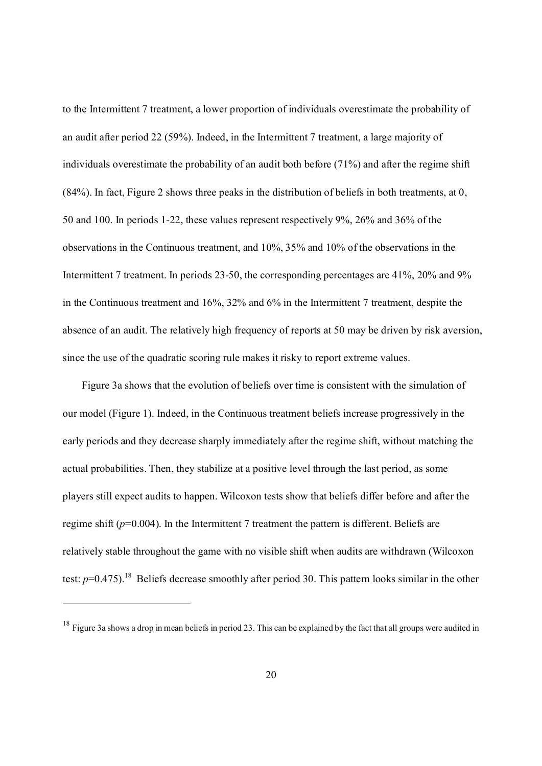to the Intermittent 7 treatment, a lower proportion of individuals overestimate the probability of an audit after period 22 (59%). Indeed, in the Intermittent 7 treatment, a large majority of individuals overestimate the probability of an audit both before (71%) and after the regime shift (84%). In fact, Figure 2 shows three peaks in the distribution of beliefs in both treatments, at 0, 50 and 100. In periods 1-22, these values represent respectively 9%, 26% and 36% of the observations in the Continuous treatment, and 10%, 35% and 10% of the observations in the Intermittent 7 treatment. In periods 23-50, the corresponding percentages are 41%, 20% and 9% in the Continuous treatment and 16%, 32% and 6% in the Intermittent 7 treatment, despite the absence of an audit. The relatively high frequency of reports at 50 may be driven by risk aversion, since the use of the quadratic scoring rule makes it risky to report extreme values.

Figure 3a shows that the evolution of beliefs over time is consistent with the simulation of our model (Figure 1). Indeed, in the Continuous treatment beliefs increase progressively in the early periods and they decrease sharply immediately after the regime shift, without matching the actual probabilities. Then, they stabilize at a positive level through the last period, as some players still expect audits to happen. Wilcoxon tests show that beliefs differ before and after the regime shift (*p*=0.004). In the Intermittent 7 treatment the pattern is different. Beliefs are relatively stable throughout the game with no visible shift when audits are withdrawn (Wilcoxon test:  $p=0.475$ ).<sup>18</sup> Beliefs decrease smoothly after period 30. This pattern looks similar in the other

 $18$  Figure 3a shows a drop in mean beliefs in period 23. This can be explained by the fact that all groups were audited in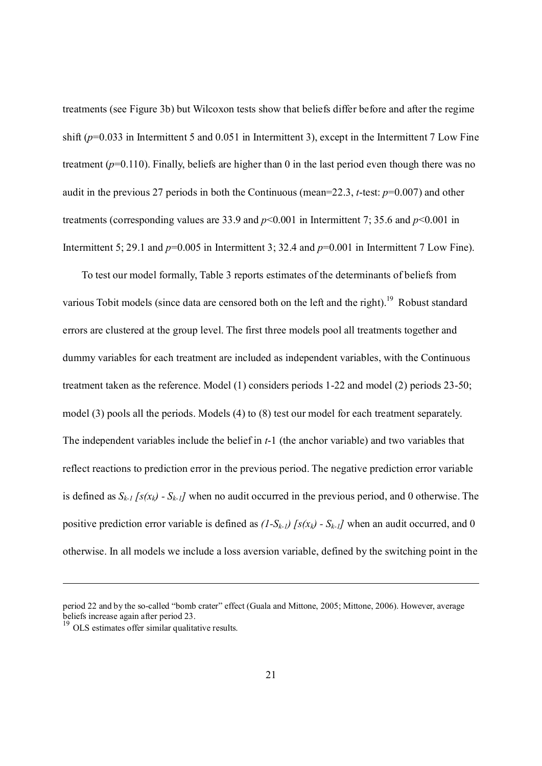treatments (see Figure 3b) but Wilcoxon tests show that beliefs differ before and after the regime shift (*p*=0.033 in Intermittent 5 and 0.051 in Intermittent 3), except in the Intermittent 7 Low Fine treatment (*p*=0.110). Finally, beliefs are higher than 0 in the last period even though there was no audit in the previous 27 periods in both the Continuous (mean=22.3, *t*-test: *p*=0.007) and other treatments (corresponding values are 33.9 and *p*<0.001 in Intermittent 7; 35.6 and *p*<0.001 in Intermittent 5; 29.1 and  $p=0.005$  in Intermittent 3; 32.4 and  $p=0.001$  in Intermittent 7 Low Fine).

To test our model formally, Table 3 reports estimates of the determinants of beliefs from various Tobit models (since data are censored both on the left and the right).<sup>19</sup> Robust standard errors are clustered at the group level. The first three models pool all treatments together and dummy variables for each treatment are included as independent variables, with the Continuous treatment taken as the reference. Model (1) considers periods 1-22 and model (2) periods 23-50; model (3) pools all the periods. Models (4) to (8) test our model for each treatment separately. The independent variables include the belief in *t*-1 (the anchor variable) and two variables that reflect reactions to prediction error in the previous period. The negative prediction error variable is defined as  $S_{k-1}$   $[s(x_k) - S_{k-1}]$  when no audit occurred in the previous period, and 0 otherwise. The positive prediction error variable is defined as  $(1-S_{k-1})$  [ $s(x_k)$  -  $S_{k-1}$ ] when an audit occurred, and 0 otherwise. In all models we include a loss aversion variable, defined by the switching point in the

 $\overline{a}$ 

period 22 and by the so-called "bomb crater" effect (Guala and Mittone, 2005; Mittone, 2006). However, average beliefs increase again after period 23.

<sup>&</sup>lt;sup>19</sup> OLS estimates offer similar qualitative results.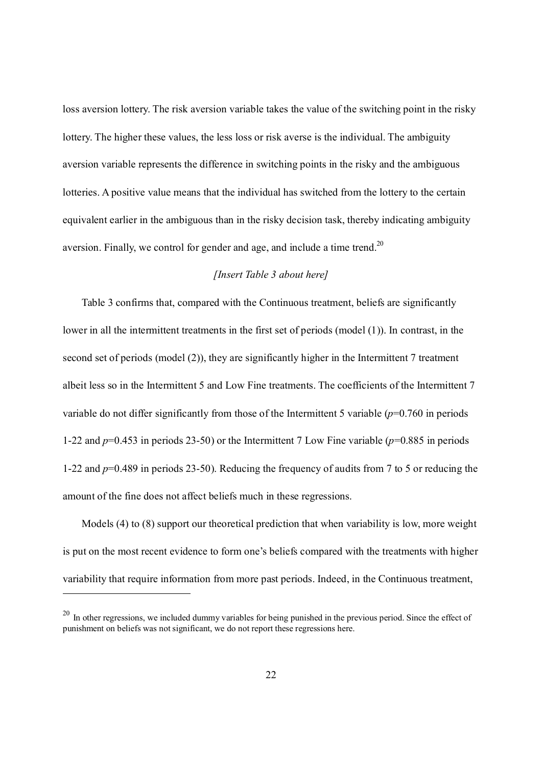loss aversion lottery. The risk aversion variable takes the value of the switching point in the risky lottery. The higher these values, the less loss or risk averse is the individual. The ambiguity aversion variable represents the difference in switching points in the risky and the ambiguous lotteries. A positive value means that the individual has switched from the lottery to the certain equivalent earlier in the ambiguous than in the risky decision task, thereby indicating ambiguity aversion. Finally, we control for gender and age, and include a time trend.<sup>20</sup>

#### *[Insert Table 3 about here]*

Table 3 confirms that, compared with the Continuous treatment, beliefs are significantly lower in all the intermittent treatments in the first set of periods (model (1)). In contrast, in the second set of periods (model (2)), they are significantly higher in the Intermittent 7 treatment albeit less so in the Intermittent 5 and Low Fine treatments. The coefficients of the Intermittent 7 variable do not differ significantly from those of the Intermittent 5 variable (*p*=0.760 in periods 1-22 and *p*=0.453 in periods 23-50) or the Intermittent 7 Low Fine variable (*p*=0.885 in periods 1-22 and *p*=0.489 in periods 23-50). Reducing the frequency of audits from 7 to 5 or reducing the amount of the fine does not affect beliefs much in these regressions.

Models (4) to (8) support our theoretical prediction that when variability is low, more weight is put on the most recent evidence to form one's beliefs compared with the treatments with higher variability that require information from more past periods. Indeed, in the Continuous treatment,

<sup>&</sup>lt;sup>20</sup> In other regressions, we included dummy variables for being punished in the previous period. Since the effect of punishment on beliefs was not significant, we do not report these regressions here.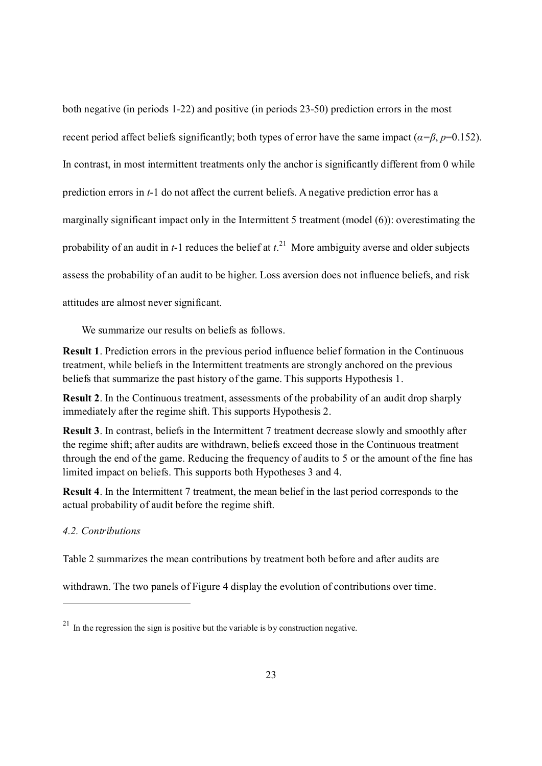both negative (in periods 1-22) and positive (in periods 23-50) prediction errors in the most recent period affect beliefs significantly; both types of error have the same impact ( $\alpha = \beta$ ,  $p=0.152$ ). In contrast, in most intermittent treatments only the anchor is significantly different from 0 while prediction errors in *t*-1 do not affect the current beliefs. A negative prediction error has a marginally significant impact only in the Intermittent 5 treatment (model (6)): overestimating the probability of an audit in *t*-1 reduces the belief at *t*. 21 More ambiguity averse and older subjects assess the probability of an audit to be higher. Loss aversion does not influence beliefs, and risk attitudes are almost never significant.

We summarize our results on beliefs as follows.

Result 1. Prediction errors in the previous period influence belief formation in the Continuous treatment, while beliefs in the Intermittent treatments are strongly anchored on the previous beliefs that summarize the past history of the game. This supports Hypothesis 1.

Result 2. In the Continuous treatment, assessments of the probability of an audit drop sharply immediately after the regime shift. This supports Hypothesis 2.

Result 3. In contrast, beliefs in the Intermittent 7 treatment decrease slowly and smoothly after the regime shift; after audits are withdrawn, beliefs exceed those in the Continuous treatment through the end of the game. Reducing the frequency of audits to 5 or the amount of the fine has limited impact on beliefs. This supports both Hypotheses 3 and 4.

Result 4. In the Intermittent 7 treatment, the mean belief in the last period corresponds to the actual probability of audit before the regime shift.

#### *4.2. Contributions*

-

Table 2 summarizes the mean contributions by treatment both before and after audits are

withdrawn. The two panels of Figure 4 display the evolution of contributions over time.

 $^{21}$  In the regression the sign is positive but the variable is by construction negative.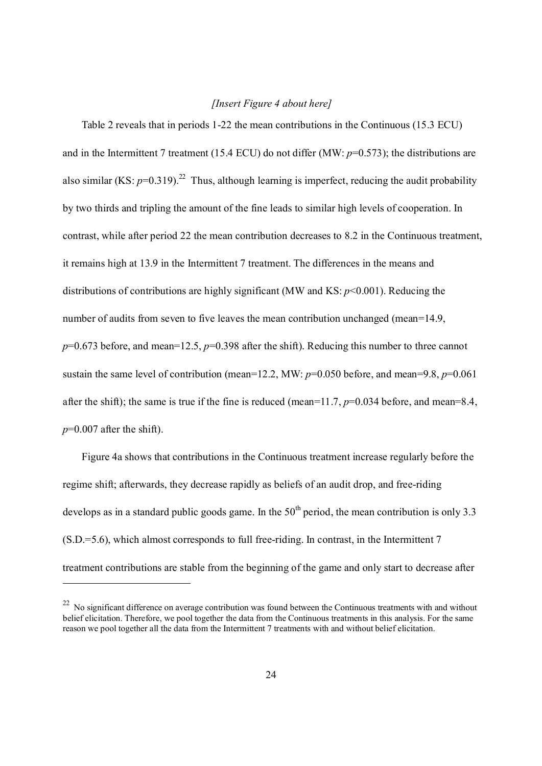#### *[Insert Figure 4 about here]*

Table 2 reveals that in periods 1-22 the mean contributions in the Continuous (15.3 ECU) and in the Intermittent 7 treatment (15.4 ECU) do not differ (MW: *p*=0.573); the distributions are also similar (KS:  $p=0.319$ )<sup>22</sup> Thus, although learning is imperfect, reducing the audit probability by two thirds and tripling the amount of the fine leads to similar high levels of cooperation. In contrast, while after period 22 the mean contribution decreases to 8.2 in the Continuous treatment, it remains high at 13.9 in the Intermittent 7 treatment. The differences in the means and distributions of contributions are highly significant (MW and KS: *p*<0.001). Reducing the number of audits from seven to five leaves the mean contribution unchanged (mean=14.9, *p*=0.673 before, and mean=12.5, *p*=0.398 after the shift). Reducing this number to three cannot sustain the same level of contribution (mean=12.2, MW: *p*=0.050 before, and mean=9.8, *p*=0.061 after the shift); the same is true if the fine is reduced (mean=11.7, *p*=0.034 before, and mean=8.4,  $p=0.007$  after the shift).

Figure 4a shows that contributions in the Continuous treatment increase regularly before the regime shift; afterwards, they decrease rapidly as beliefs of an audit drop, and free-riding develops as in a standard public goods game. In the  $50<sup>th</sup>$  period, the mean contribution is only 3.3 (S.D.=5.6), which almost corresponds to full free-riding. In contrast, in the Intermittent 7 treatment contributions are stable from the beginning of the game and only start to decrease after

 $22$  No significant difference on average contribution was found between the Continuous treatments with and without belief elicitation. Therefore, we pool together the data from the Continuous treatments in this analysis. For the same reason we pool together all the data from the Intermittent 7 treatments with and without belief elicitation.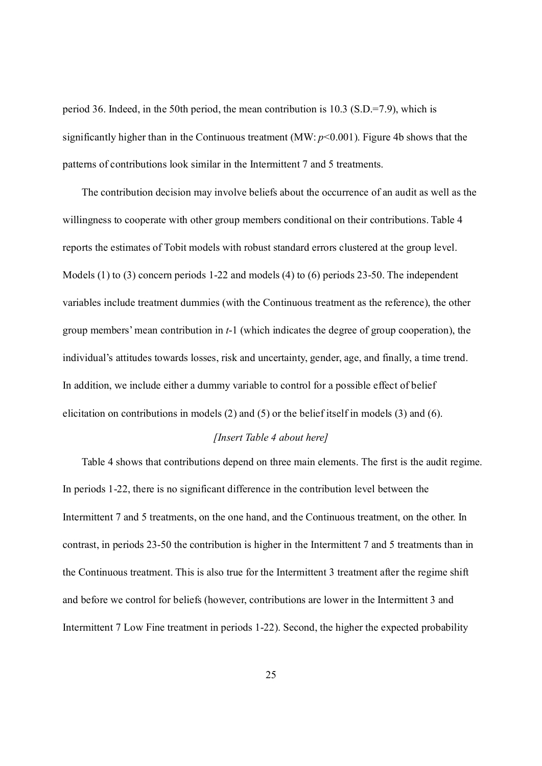period 36. Indeed, in the 50th period, the mean contribution is 10.3 (S.D.=7.9), which is significantly higher than in the Continuous treatment (MW: *p*<0.001). Figure 4b shows that the patterns of contributions look similar in the Intermittent 7 and 5 treatments.

The contribution decision may involve beliefs about the occurrence of an audit as well as the willingness to cooperate with other group members conditional on their contributions. Table 4 reports the estimates of Tobit models with robust standard errors clustered at the group level. Models (1) to (3) concern periods 1-22 and models (4) to (6) periods 23-50. The independent variables include treatment dummies (with the Continuous treatment as the reference), the other group members' mean contribution in *t*-1 (which indicates the degree of group cooperation), the individual's attitudes towards losses, risk and uncertainty, gender, age, and finally, a time trend. In addition, we include either a dummy variable to control for a possible effect of belief elicitation on contributions in models (2) and (5) or the belief itself in models (3) and (6).

### *[Insert Table 4 about here]*

Table 4 shows that contributions depend on three main elements. The first is the audit regime. In periods 1-22, there is no significant difference in the contribution level between the Intermittent 7 and 5 treatments, on the one hand, and the Continuous treatment, on the other. In contrast, in periods 23-50 the contribution is higher in the Intermittent 7 and 5 treatments than in the Continuous treatment. This is also true for the Intermittent 3 treatment after the regime shift and before we control for beliefs (however, contributions are lower in the Intermittent 3 and Intermittent 7 Low Fine treatment in periods 1-22). Second, the higher the expected probability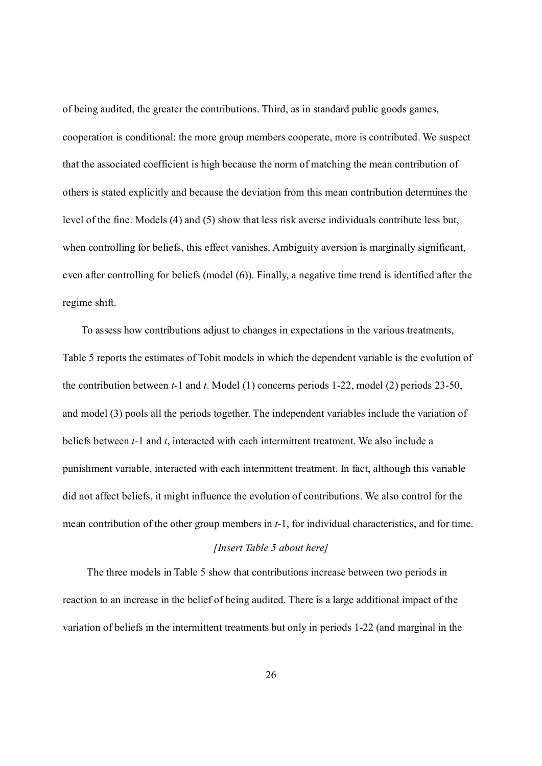of being audited, the greater the contributions. Third, as in standard public goods games, cooperation is conditional: the more group members cooperate, more is contributed. We suspect that the associated coefficient is high because the norm of matching the mean contribution of others is stated explicitly and because the deviation from this mean contribution determines the level of the fine. Models (4) and (5) show that less risk averse individuals contribute less but, when controlling for beliefs, this effect vanishes. Ambiguity aversion is marginally significant, even after controlling for beliefs (model (6)). Finally, a negative time trend is identified after the regime shift.

To assess how contributions adjust to changes in expectations in the various treatments, Table 5 reports the estimates of Tobit models in which the dependent variable is the evolution of the contribution between *t*-1 and *t*. Model (1) concerns periods 1-22, model (2) periods 23-50, and model (3) pools all the periods together. The independent variables include the variation of beliefs between *t*-1 and *t*, interacted with each intermittent treatment. We also include a punishment variable, interacted with each intermittent treatment. In fact, although this variable did not affect beliefs, it might influence the evolution of contributions. We also control for the mean contribution of the other group members in *t*-1, for individual characteristics, and for time.

# *[Insert Table 5 about here]*

 The three models in Table 5 show that contributions increase between two periods in reaction to an increase in the belief of being audited. There is a large additional impact of the variation of beliefs in the intermittent treatments but only in periods 1-22 (and marginal in the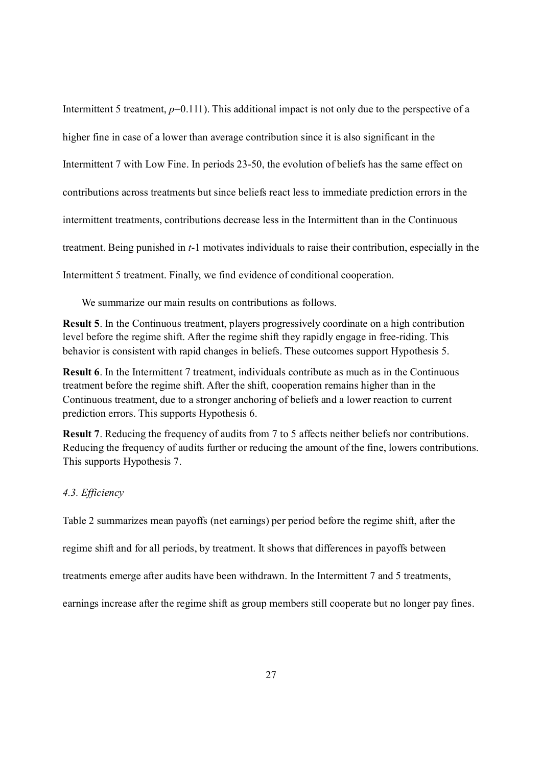Intermittent 5 treatment,  $p=0.111$ ). This additional impact is not only due to the perspective of a higher fine in case of a lower than average contribution since it is also significant in the Intermittent 7 with Low Fine. In periods 23-50, the evolution of beliefs has the same effect on contributions across treatments but since beliefs react less to immediate prediction errors in the intermittent treatments, contributions decrease less in the Intermittent than in the Continuous treatment. Being punished in *t*-1 motivates individuals to raise their contribution, especially in the Intermittent 5 treatment. Finally, we find evidence of conditional cooperation.

We summarize our main results on contributions as follows.

Result 5. In the Continuous treatment, players progressively coordinate on a high contribution level before the regime shift. After the regime shift they rapidly engage in free-riding. This behavior is consistent with rapid changes in beliefs. These outcomes support Hypothesis 5.

Result 6. In the Intermittent 7 treatment, individuals contribute as much as in the Continuous treatment before the regime shift. After the shift, cooperation remains higher than in the Continuous treatment, due to a stronger anchoring of beliefs and a lower reaction to current prediction errors. This supports Hypothesis 6.

Result 7. Reducing the frequency of audits from 7 to 5 affects neither beliefs nor contributions. Reducing the frequency of audits further or reducing the amount of the fine, lowers contributions. This supports Hypothesis 7.

### *4.3. Efficiency*

Table 2 summarizes mean payoffs (net earnings) per period before the regime shift, after the

regime shift and for all periods, by treatment. It shows that differences in payoffs between

treatments emerge after audits have been withdrawn. In the Intermittent 7 and 5 treatments,

earnings increase after the regime shift as group members still cooperate but no longer pay fines.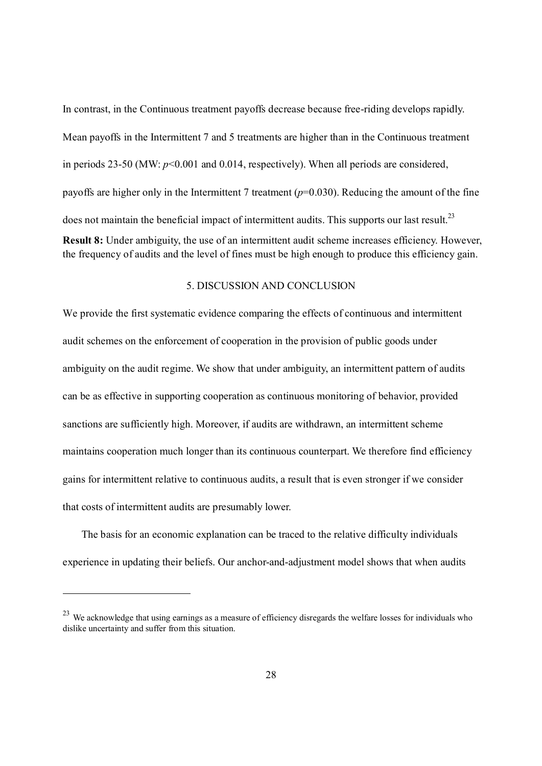In contrast, in the Continuous treatment payoffs decrease because free-riding develops rapidly. Mean payoffs in the Intermittent 7 and 5 treatments are higher than in the Continuous treatment in periods 23-50 (MW:  $p \le 0.001$  and 0.014, respectively). When all periods are considered, payoffs are higher only in the Intermittent 7 treatment (*p*=0.030). Reducing the amount of the fine does not maintain the beneficial impact of intermittent audits. This supports our last result.<sup>23</sup> Result 8: Under ambiguity, the use of an intermittent audit scheme increases efficiency. However, the frequency of audits and the level of fines must be high enough to produce this efficiency gain.

### 5. DISCUSSION AND CONCLUSION

We provide the first systematic evidence comparing the effects of continuous and intermittent audit schemes on the enforcement of cooperation in the provision of public goods under ambiguity on the audit regime. We show that under ambiguity, an intermittent pattern of audits can be as effective in supporting cooperation as continuous monitoring of behavior, provided sanctions are sufficiently high. Moreover, if audits are withdrawn, an intermittent scheme maintains cooperation much longer than its continuous counterpart. We therefore find efficiency gains for intermittent relative to continuous audits, a result that is even stronger if we consider that costs of intermittent audits are presumably lower.

The basis for an economic explanation can be traced to the relative difficulty individuals experience in updating their beliefs. Our anchor-and-adjustment model shows that when audits

<sup>&</sup>lt;sup>23</sup> We acknowledge that using earnings as a measure of efficiency disregards the welfare losses for individuals who dislike uncertainty and suffer from this situation.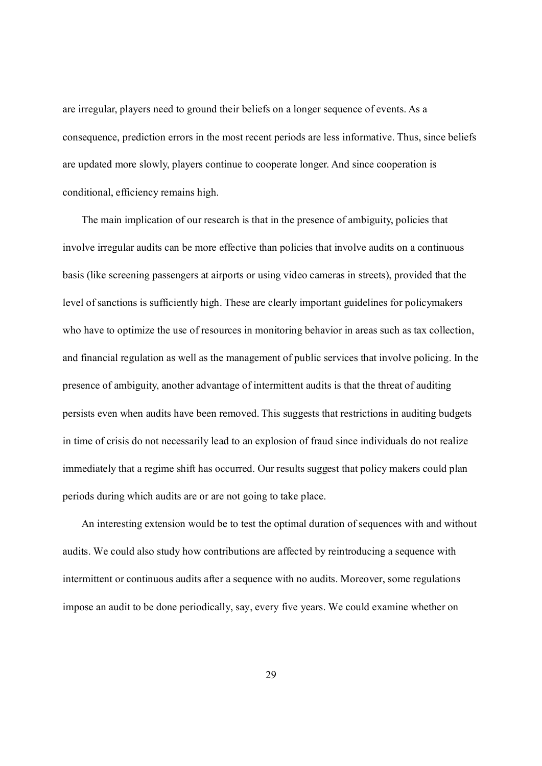are irregular, players need to ground their beliefs on a longer sequence of events. As a consequence, prediction errors in the most recent periods are less informative. Thus, since beliefs are updated more slowly, players continue to cooperate longer. And since cooperation is conditional, efficiency remains high.

 The main implication of our research is that in the presence of ambiguity, policies that involve irregular audits can be more effective than policies that involve audits on a continuous basis (like screening passengers at airports or using video cameras in streets), provided that the level of sanctions is sufficiently high. These are clearly important guidelines for policymakers who have to optimize the use of resources in monitoring behavior in areas such as tax collection, and financial regulation as well as the management of public services that involve policing. In the presence of ambiguity, another advantage of intermittent audits is that the threat of auditing persists even when audits have been removed. This suggests that restrictions in auditing budgets in time of crisis do not necessarily lead to an explosion of fraud since individuals do not realize immediately that a regime shift has occurred. Our results suggest that policy makers could plan periods during which audits are or are not going to take place.

An interesting extension would be to test the optimal duration of sequences with and without audits. We could also study how contributions are affected by reintroducing a sequence with intermittent or continuous audits after a sequence with no audits. Moreover, some regulations impose an audit to be done periodically, say, every five years. We could examine whether on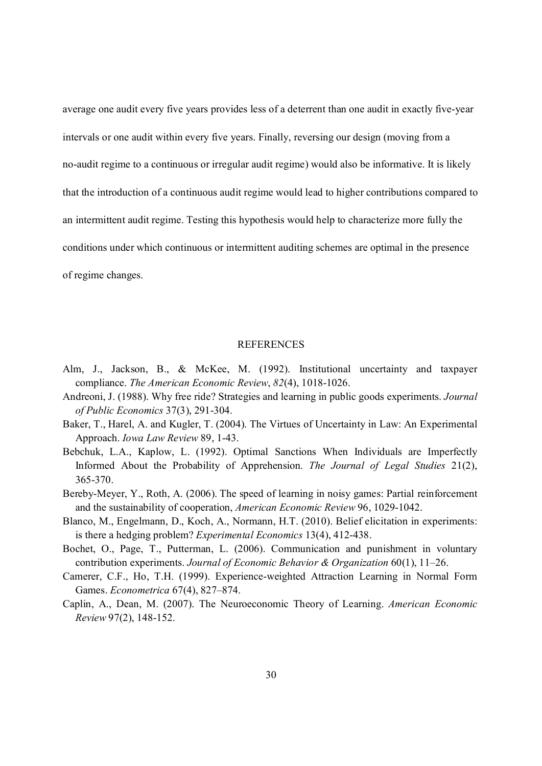average one audit every five years provides less of a deterrent than one audit in exactly five-year intervals or one audit within every five years. Finally, reversing our design (moving from a no-audit regime to a continuous or irregular audit regime) would also be informative. It is likely that the introduction of a continuous audit regime would lead to higher contributions compared to an intermittent audit regime. Testing this hypothesis would help to characterize more fully the conditions under which continuous or intermittent auditing schemes are optimal in the presence of regime changes.

#### **REFERENCES**

- Alm, J., Jackson, B., & McKee, M. (1992). Institutional uncertainty and taxpayer compliance. *The American Economic Review*, *82*(4), 1018-1026.
- Andreoni, J. (1988). Why free ride? Strategies and learning in public goods experiments. *Journal of Public Economics* 37(3), 291-304.
- Baker, T., Harel, A. and Kugler, T. (2004). The Virtues of Uncertainty in Law: An Experimental Approach. *Iowa Law Review* 89, 1-43.
- Bebchuk, L.A., Kaplow, L. (1992). Optimal Sanctions When Individuals are Imperfectly Informed About the Probability of Apprehension. *The Journal of Legal Studies* 21(2), 365-370.
- Bereby-Meyer, Y., Roth, A. (2006). The speed of learning in noi[sy games: Partial reinforcement](http://ideas.repec.org/a/kap/expeco/v13y2010i4p412-438.html)  and the sustainability of cooperation, *American Economic Review* 96, 1029-1042.
- Bl[anco, M., Engelmann, D., Koch, A](http://ideas.repec.org/a/kap/expeco/v13y2010i4p412-438.html)[., Normann, H.T. \(2010\).](http://ideas.repec.org/s/kap/expeco.html) Belief elicitation in experiments: is there a hedging problem? *Experimental Economics* 13(4), 412-438.
- Bochet, O., Page, T., Putterman, L. (2006). Communication and punishment in voluntary contribution experiments. *Journal of Economic Behavior & Organization* 60(1), 11–26.
- Camerer, C.F., Ho, T.H. (1999). Experience-weighted Attraction Learning in Normal Form Games. *Econometrica* 67(4), 827–874.
- Caplin, A., Dean, M. (2007). The Neuroeconomic Theory of Learning. *American Economic Review* 97(2), 148-152.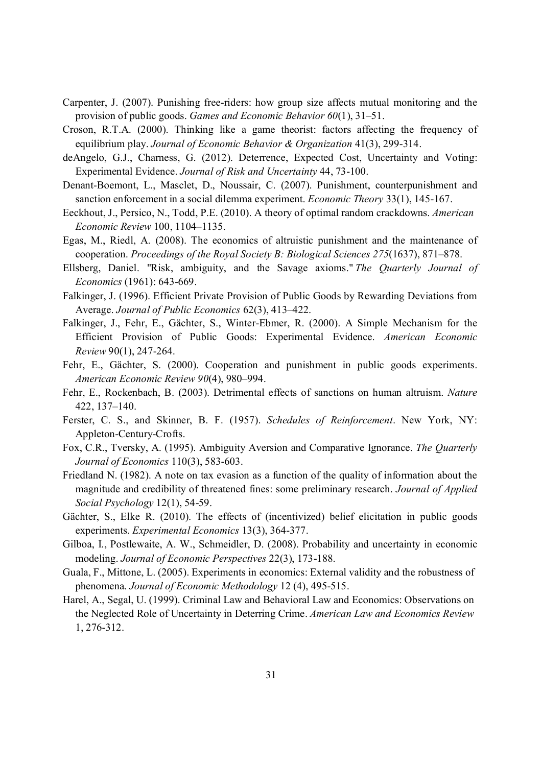- Carpenter, J. (2007). Puni[shing free-riders: how group size affects mutual monitoring and the](http://ideas.repec.org/a/eee/jeborg/v41y2000i3p299-314.html)  [provision of public go](http://ideas.repec.org/a/eee/jeborg/v41y2000i3p299-314.html)ods. *[Games and Economic Behavior](http://ideas.repec.org/s/eee/jeborg.html) 60*(1), 31–51.
- Croson, R.T.A. (2000). Thinking like a game theorist: factors affecting the frequency of equilibrium play. *Journal of Economic Behavior & Organization* 41(3), 299-314.
- deAngelo, G.J., Charness, G. (2012). Deterrence, Expected Cost, Uncertainty and Voting: Experimental Evidence. *Journal of Risk and Uncertainty* 44, 73-100.
- Denant-Boemont, L., Masclet, D., Noussair, C. (2007). Punishment, counterpunishment and sanction enforcement in a social dilemma experiment. *Economic Theory* 33(1), 145-167.
- Eeckhout, J., Persico, N., Todd, P.E. (2010). A theory of optimal random crackdowns. *American Economic Review* 100, 1104–1135.
- Egas, M., Riedl, A. (2008). The economics of altruistic punishment and the maintenance of cooperation. *Proceedings of the Royal Society B: Biological Sciences 275*(1637), 871–878.
- Ellsberg, Daniel. "Risk, ambiguity, and the Savage axioms." *The Quarterly Journal of Economics* (1961): 643-669.
- Falkinger, J. (1996). Efficient Private Provision of Public Goods by Rewarding Deviations from Average. *Journal of Public Economics* 62(3), 413–422.
- Fal[kinger, J.](http://www.jstor.org/action/showPublication?journalCode=amereconrevi), Fehr, E., Gächter, S., Winter-Ebmer, R. (2000). A Simple Mechanism [for the](http://www.jstor.org/action/showPublication?journalCode=amereconrevi)  Efficient Provision of Public Goods: Experimental Evidence. *American Economic Review* 90(1), 247-264.
- Fehr, E., Gächter, S. (2000). Cooperation and punishment in public goods experiments. *American Economic Review 90*(4), 980–994.
- Fehr, E., Rockenbach, B. (2003). Detrimental effects of sanctions on human altruism. *Nature* 422, 137–140.
- Ferster, C. S., and Skinner, B. F. (1957). *Schedules of Reinforcement*. New York, NY: Appleton-Century-Crofts.
- Fox, C.R., Tversky, A. (1995). Ambiguity Aversion and Comparative Ignorance. *The Quarterly Journal of Economics* 110(3), 583-603.
- Friedland N. (1982). A note on tax evasion as a function of the quality of information about the magnitude and credibility of threatened fines: some preliminary research. *Journal of Applied Social Psychology* 12(1), 54-59.
- Gächter, S., Elke R. (2010). The effects of (incentivized) belief elicitation in public goods experiments. *Experimental Economics* 13(3), 364-377.
- Gilboa, I., Postlewaite, A. W., Schmeidler, D. (2008). Probability and uncertainty in economic modeling. *Journal of Economic Perspectives* 22(3), 173-188.
- Guala, F., Mittone, L. (2005). Experiments in economics: External validity and the robustness of phenomena. *Journal of Economic Methodology* 12 (4), 495-515.
- Harel, A., Segal, U. (1999). Criminal Law and Behavioral Law and Economics: Observations on the Neglected Role of Uncertainty in Deterring Crime. *American Law and Economics Review* 1, 276-312.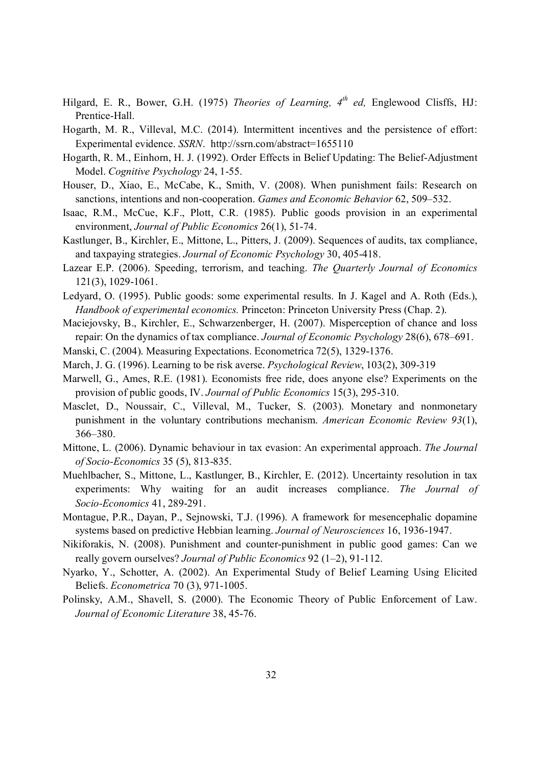- Hilgard, E. R., Bower, G.H. (1975) *Theories of Learning, 4th ed,* Englewood Clisffs, HJ: Prentice-Hall.
- Hogarth, M. R., Villeval, M.C. (2014). Intermittent incentives and the persistence of effort: Experimental evidence. *SSRN*. http://ssrn.com/abstract=1655110
- Hogarth, R. M., Einhorn, H. J. (1992). Order Effects in Belief Updating: The Belief-Adjustment Model. *Cognitive Psychology* 24, 1-55.
- Houser, D., Xiao, E., McCabe, K., Smith, V. (2008). When punishment fails: Research on sanctions, intentions and non-cooperation. *Games and Economic Behavior* 62, 509–532.
- Isaac, R.M., McCue, K.F., Plott, C.R. (1985). Public goods provision in an experimental environment, *Journal of Public Economics* 26(1), 51-74.
- Kastlunger, B., Kirchler, E., Mittone, L., Pitters, J. (2009). Sequences of audits, tax compliance, and taxpaying strategies. *Journal of Economic Psychology* 30, 405-418.
- Lazear E.P. (2006). Speeding, terrorism, and teaching. *The Quarterly Journal of Economics* 121(3), 1029-1061.
- Ledyard, O. (1995). Public goods: some experimental results. In J. Kagel and A. Roth (Eds.), *Handbook of experimental economics.* Princeton: Princeton University Press (Chap. 2).
- Maciejovsky, B., Kirchler, E., Schwarzenberger, H. (2007). Misperception of chance and loss repair: On the dynamics of tax compliance. *Journal of Economic Psychology* 28(6), 678–691.
- Manski, C. (2004). Measuring Expectations. Econometrica 72(5), 1329-1376.
- March, J. G. (1996). Learning to be risk averse. *Psychological Review*, 103(2), 309-319
- Marwell, G., Ames, R.E. (1981). Economists free ride, does anyone else? Experiments on the provision of public goods, IV. *Journal of Public Economics* 15(3), 295-310.
- Masclet, D., Noussair, C., Villeval, M., Tucker, S. (2003). Monetary and nonmonetary punishment in the voluntary contributions mechanism. *American Economic Review 93*(1), 366–380.
- Mittone, L. (2006). Dynamic behaviour in tax evasion: An experimental approach. *The Journal of Socio-Economics* 35 (5), 813-835.
- Muehlbacher, S., Mittone, L., Kastlunger, B., Kirchler, E. (2012). Uncertainty resolution in tax experiments: Why waiting for an audit increases compliance. *The Journal of Socio-Economics* 41, 289-291.
- Montague, P.R., Dayan, P., Sejnowski, T.J. (1996). A framework for mesencephalic dopamine systems based on predictive Hebbian learning. *Journal of Neurosciences* 16, 1936-1947.
- Nikiforakis, N. (2008). Punishment and counter-punishment in public good games: Can we really govern ourselves? *Journal [of Public Economics](http://www.jstor.org.bibliotheque-nomade2.univ-lyon2.fr/stable/2692305)* 92 (1–2), 91-112.
- Ny[arko, Y.](http://www.jstor.org.bibliotheque-nomade2.univ-lyon2.fr/stable/2692305)[, Schotter, A. \(20](http://www.jstor.org.bibliotheque-nomade2.univ-lyon2.fr/action/showPublication?journalCode=econometrica)02). An Experimental Study of Belief Learning Using Elicited Beliefs. *Econometrica* 70 (3), 971-1005.
- Polinsky, A.M., Shavell, S. (2000). The Economic Theory of Public Enforcement of Law. *Journal of Economic Literature* 38, 45-76.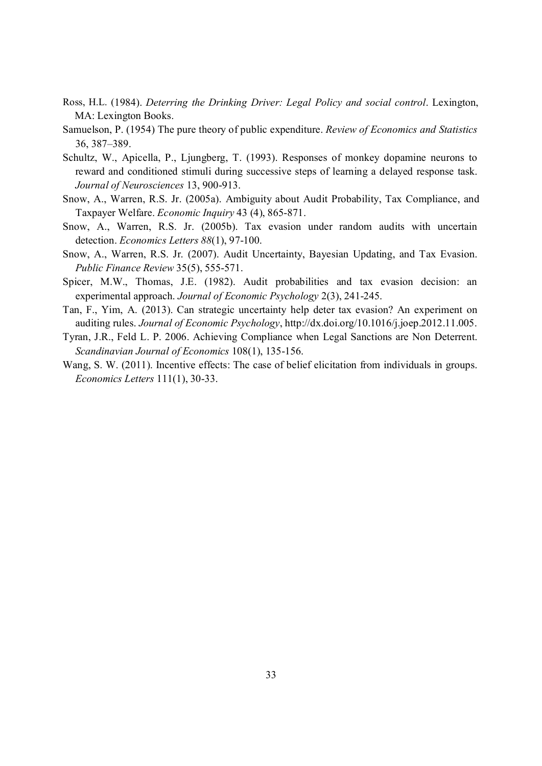- Ross, H.L. (1984). *Deterring the Drinking Driver: Legal Policy and social control*. Lexington, MA: Lexington Books.
- Samuelson, P. (1954) The pure theory of public expenditure. *Review of Economics and Statistics*  36, 387–389.
- Schultz, W., Apicella, P., Ljungberg, T. (1993). Responses of monkey dopamine neurons to reward and conditioned stimuli during successive steps of learning a delayed response task. *Journal of Neurosciences* 13, 900-913.
- Snow, A., Warren, R.S. Jr. (2005a). Ambiguity about Audit Probability, Tax Compliance, and Taxpayer Welfare. *Economic Inquiry* 43 (4), 865-871.
- Snow, A., Warren, R.S. Jr. (2005b). Tax evasion under random audits with uncertain detection. *Economics Letters 88*(1), 97-100.
- Snow, A., Warren, R.S. Jr. (2007). Audit Uncertainty, Bayesian Updating, and Tax Evasion. *Public Finance Review* 35(5), 555-571.
- Spicer, M.W., Thomas, J.E. (1982). Audit probabilities and tax evasion decision: an experimental approach. *Journal of Economic Psychology* 2(3), 241-245.
- Tan, F., Yim, A. (2013). Can strategic uncertainty help deter tax evasion? An experiment on auditing rules. *Journal of Economic Psychology*, http://dx.doi.org/10.1016/j.joep.2012.11.005.
- Tyran, J.R., Feld L. P. 2006. Achieving Compliance when Legal Sanctions are Non Deterrent. *Scandinavian Journal of Economics* 108(1), 135-156.
- Wang, S. W. (2011). Incentive effects: The case of belief elicitation from individuals in groups. *Economics Letters* 111(1), 30-33.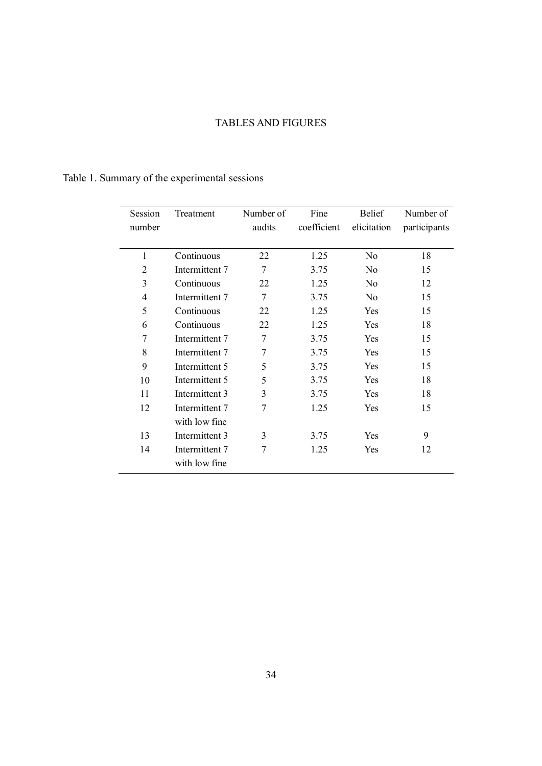# TABLES AND FIGURES

# Table 1. Summary of the experimental sessions

| Session        | Treatment      | Number of      | Fine        | <b>Belief</b>  | Number of    |
|----------------|----------------|----------------|-------------|----------------|--------------|
| number         |                | audits         | coefficient | elicitation    | participants |
| $\mathbf{1}$   | Continuous     | 22             | 1.25        | N <sub>o</sub> | 18           |
| $\overline{2}$ | Intermittent 7 | 7              | 3.75        | No             | 15           |
| 3              | Continuous     | 22             | 1.25        | N <sub>0</sub> | 12           |
| 4              | Intermittent 7 | $\overline{7}$ | 3.75        | No             | 15           |
| 5              | Continuous     | 22             | 1.25        | <b>Yes</b>     | 15           |
| 6              | Continuous     | 22             | 1.25        | <b>Yes</b>     | 18           |
| 7              | Intermittent 7 | 7              | 3.75        | Yes            | 15           |
| 8              | Intermittent 7 | 7              | 3.75        | <b>Yes</b>     | 15           |
| 9              | Intermittent 5 | 5              | 3.75        | <b>Yes</b>     | 15           |
| 10             | Intermittent 5 | 5              | 3.75        | <b>Yes</b>     | 18           |
| 11             | Intermittent 3 | 3              | 3.75        | Yes            | 18           |
| 12             | Intermittent 7 | 7              | 1.25        | Yes            | 15           |
|                | with low fine  |                |             |                |              |
| 13             | Intermittent 3 | 3              | 3.75        | Yes            | 9            |
| 14             | Intermittent 7 | 7              | 1.25        | Yes            | 12           |
|                | with low fine  |                |             |                |              |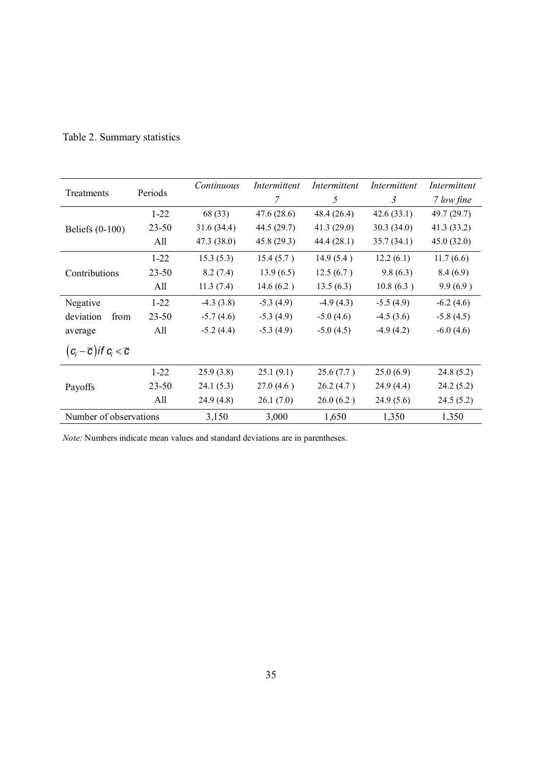|                                              |           | Continuous  | Intermittent | Intermittent | Intermittent | Intermittent |
|----------------------------------------------|-----------|-------------|--------------|--------------|--------------|--------------|
| Treatments                                   | Periods   |             | 7            | 5            | 3            | 7 low fine   |
|                                              | $1 - 22$  | 68 (33)     | 47.6(28.6)   | 48.4 (26.4)  | 42.6(33.1)   | 49.7 (29.7)  |
| Beliefs $(0-100)$                            | $23 - 50$ | 31.6(34.4)  | 44.5 (29.7)  | 41.3(29.0)   | 30.3(34.0)   | 41.3 (33.2)  |
|                                              | All       | 47.3 (38.0) | 45.8(29.3)   | 44.4(28.1)   | 35.7(34.1)   | 45.0(32.0)   |
|                                              | $1 - 22$  | 15.3(5.3)   | 15.4(5.7)    | 14.9(5.4)    | 12.2(6.1)    | 11.7(6.6)    |
| Contributions                                | $23 - 50$ | 8.2(7.4)    | 13.9(6.5)    | 12.5(6.7)    | 9.8(6.3)     | 8.4(6.9)     |
|                                              | All       | 11.3(7.4)   | 14.6(6.2)    | 13.5(6.3)    | 10.8(6.3)    | 9.9(6.9)     |
| Negative                                     | $1 - 22$  | $-4.3(3.8)$ | $-5.3(4.9)$  | $-4.9(4.3)$  | $-5.5(4.9)$  | $-6.2(4.6)$  |
| deviation<br>from                            | $23 - 50$ | $-5.7(4.6)$ | $-5.3(4.9)$  | $-5.0(4.6)$  | $-4.5(3.6)$  | $-5.8(4.5)$  |
| average                                      | All       | $-5.2(4.4)$ | $-5.3(4.9)$  | $-5.0(4.5)$  | $-4.9(4.2)$  | $-6.0(4.6)$  |
| $(c_i-\overline{c})$ if $c_i < \overline{c}$ |           |             |              |              |              |              |
|                                              | $1 - 22$  | 25.9(3.8)   | 25.1(9.1)    | 25.6(7.7)    | 25.0(6.9)    | 24.8(5.2)    |
| Payoffs                                      | $23 - 50$ | 24.1(5.3)   | 27.0(4.6)    | 26.2(4.7)    | 24.9(4.4)    | 24.2(5.2)    |
|                                              | All       | 24.9 (4.8)  | 26.1(7.0)    | 26.0(6.2)    | 24.9(5.6)    | 24.5(5.2)    |
| Number of observations                       |           | 3,150       | 3,000        | 1,650        | 1,350        | 1,350        |

# Table 2. Summary statistics

*Note:* Numbers indicate mean values and standard deviations are in parentheses.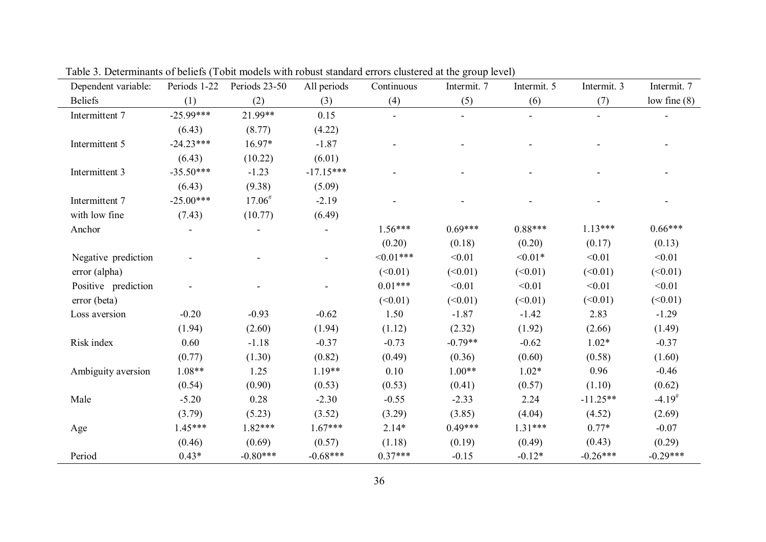| Dependent variable: | Periods 1-22 | Periods 23-50 | All periods | Continuous | Intermit. 7 | Intermit. 5 | Intermit. 3 | Intermit. 7          |
|---------------------|--------------|---------------|-------------|------------|-------------|-------------|-------------|----------------------|
| <b>Beliefs</b>      | (1)          | (2)           | (3)         | (4)        | (5)         | (6)         | (7)         | low fine $(8)$       |
| Intermittent 7      | $-25.99***$  | 21.99**       | 0.15        |            |             |             |             |                      |
|                     | (6.43)       | (8.77)        | (4.22)      |            |             |             |             |                      |
| Intermittent 5      | $-24.23***$  | 16.97*        | $-1.87$     |            |             |             |             |                      |
|                     | (6.43)       | (10.22)       | (6.01)      |            |             |             |             |                      |
| Intermittent 3      | $-35.50***$  | $-1.23$       | $-17.15***$ |            |             |             |             |                      |
|                     | (6.43)       | (9.38)        | (5.09)      |            |             |             |             |                      |
| Intermittent 7      | $-25.00***$  | $17.06^{\#}$  | $-2.19$     |            |             |             |             |                      |
| with low fine       | (7.43)       | (10.77)       | (6.49)      |            |             |             |             |                      |
| Anchor              |              |               |             | $1.56***$  | $0.69***$   | $0.88***$   | $1.13***$   | $0.66***$            |
|                     |              |               |             | (0.20)     | (0.18)      | (0.20)      | (0.17)      | (0.13)               |
| Negative prediction |              |               |             | $<0.01***$ | < 0.01      | $< 0.01*$   | < 0.01      | < 0.01               |
| error (alpha)       |              |               |             | (<0.01)    | (<0.01)     | (<0.01)     | (<0.01)     | (<0.01)              |
| Positive prediction |              |               |             | $0.01***$  | < 0.01      | < 0.01      | < 0.01      | < 0.01               |
| error (beta)        |              |               |             | (<0.01)    | (<0.01)     | (<0.01)     | (<0.01)     | (<0.01)              |
| Loss aversion       | $-0.20$      | $-0.93$       | $-0.62$     | 1.50       | $-1.87$     | $-1.42$     | 2.83        | $-1.29$              |
|                     | (1.94)       | (2.60)        | (1.94)      | (1.12)     | (2.32)      | (1.92)      | (2.66)      | (1.49)               |
| Risk index          | 0.60         | $-1.18$       | $-0.37$     | $-0.73$    | $-0.79**$   | $-0.62$     | $1.02*$     | $-0.37$              |
|                     | (0.77)       | (1.30)        | (0.82)      | (0.49)     | (0.36)      | (0.60)      | (0.58)      | (1.60)               |
| Ambiguity aversion  | $1.08**$     | 1.25          | $1.19**$    | 0.10       | $1.00**$    | $1.02*$     | 0.96        | $-0.46$              |
|                     | (0.54)       | (0.90)        | (0.53)      | (0.53)     | (0.41)      | (0.57)      | (1.10)      | (0.62)               |
| Male                | $-5.20$      | 0.28          | $-2.30$     | $-0.55$    | $-2.33$     | 2.24        | $-11.25**$  | $-4.19$ <sup>#</sup> |
|                     | (3.79)       | (5.23)        | (3.52)      | (3.29)     | (3.85)      | (4.04)      | (4.52)      | (2.69)               |
| Age                 | 1.45***      | 1.82***       | $1.67***$   | $2.14*$    | $0.49***$   | $1.31***$   | $0.77*$     | $-0.07$              |
|                     | (0.46)       | (0.69)        | (0.57)      | (1.18)     | (0.19)      | (0.49)      | (0.43)      | (0.29)               |
| Period              | $0.43*$      | $-0.80***$    | $-0.68***$  | $0.37***$  | $-0.15$     | $-0.12*$    | $-0.26***$  | $-0.29***$           |

Table 3. Determinants of beliefs (Tobit models with robust standard errors clustered at the group level)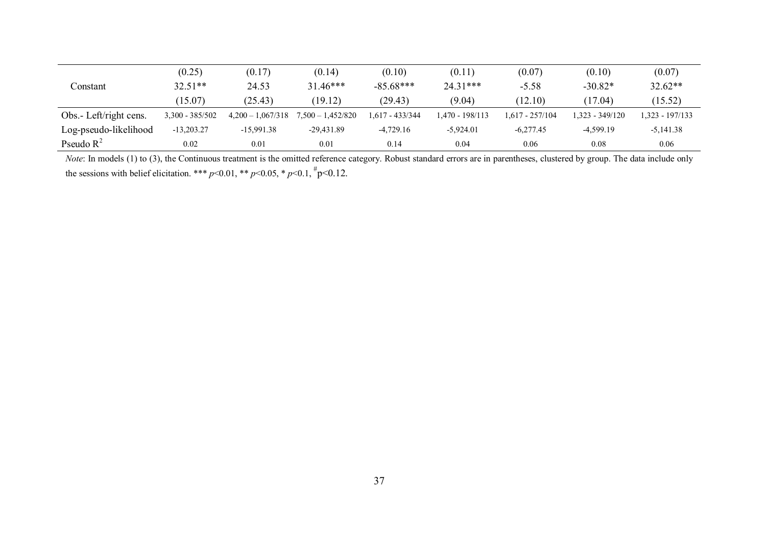|                        | (0.25)            | (0.17)              | (0.14)              | (0.10)          | (0.11)          | (0.07)          | (0.10)          | (0.07)          |
|------------------------|-------------------|---------------------|---------------------|-----------------|-----------------|-----------------|-----------------|-----------------|
| Constant               | $32.51**$         | 24.53               | $31.46***$          | $-85.68***$     | $24.31***$      | $-5.58$         | $-30.82*$       | $32.62**$       |
|                        | (15.07)           | (25.43)             | (19.12)             | (29.43)         | (9.04)          | (12.10)         | (17.04)         | (15.52)         |
| Obs.- Left/right cens. | $3,300 - 385/502$ | $4,200 - 1,067/318$ | $7,500 - 1,452/820$ | 1,617 - 433/344 | 1.470 - 198/113 | 1.617 - 257/104 | 1.323 - 349/120 | 1.323 - 197/133 |
| Log-pseudo-likelihood  | $-13,203.27$      | $-15,991.38$        | $-29.431.89$        | $-4.729.16$     | $-5.924.01$     | $-6.277.45$     | $-4.599.19$     | $-5,141.38$     |
| Pseudo $R^2$           | 0.02              | 0.01                | 0.01                | 0.14            | 0.04            | 0.06            | 0.08            | 0.06            |

*Note*: In models (1) to (3), the Continuous treatment is the omitted reference category. Robust standard errors are in parentheses, clustered by group. The data include only the sessions with belief elicitation. \*\*\*  $p<0.01$ , \*\*  $p<0.05$ , \*  $p<0.1$ ,  $\frac{h}{p}<0.12$ .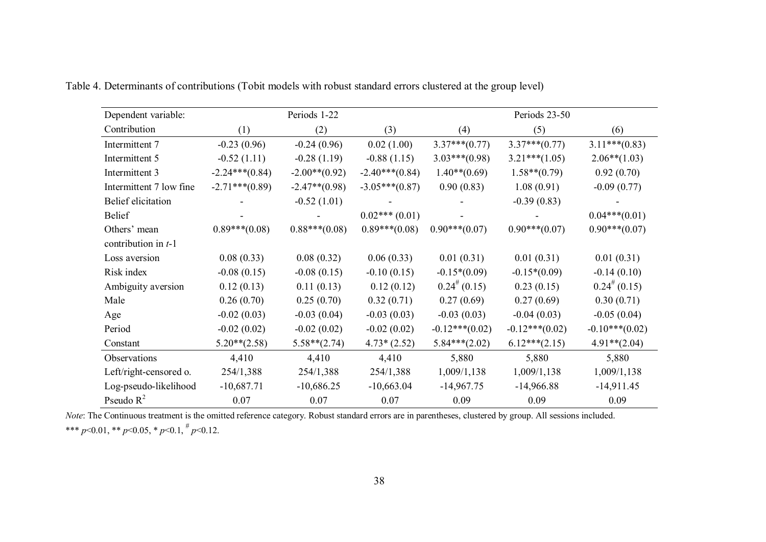| Dependent variable:       |                  | Periods 1-22     |                  |                    | Periods 23-50    |                    |
|---------------------------|------------------|------------------|------------------|--------------------|------------------|--------------------|
| Contribution              | (1)              | (2)              | (3)              | (4)                | (5)              | (6)                |
| Intermittent 7            | $-0.23(0.96)$    | $-0.24(0.96)$    | 0.02(1.00)       | $3.37***(0.77)$    | $3.37***(0.77)$  | $3.11***(0.83)$    |
| Intermittent 5            | $-0.52(1.11)$    | $-0.28(1.19)$    | $-0.88(1.15)$    | $3.03***(0.98)$    | $3.21***(1.05)$  | $2.06**$ (1.03)    |
| Intermittent 3            | $-2.24***(0.84)$ | $-2.00**$ (0.92) | $-2.40***(0.84)$ | $1.40**$ (0.69)    | $1.58**$ (0.79)  | 0.92(0.70)         |
| Intermittent 7 low fine   | $-2.71***(0.89)$ | $-2.47**$ (0.98) | $-3.05***(0.87)$ | 0.90(0.83)         | 1.08(0.91)       | $-0.09(0.77)$      |
| <b>Belief</b> elicitation |                  | $-0.52(1.01)$    |                  |                    | $-0.39(0.83)$    |                    |
| <b>Belief</b>             |                  |                  | $0.02***(0.01)$  |                    |                  | $0.04***(0.01)$    |
| Others' mean              | $0.89***(0.08)$  | $0.88***(0.08)$  | $0.89***(0.08)$  | $0.90***(0.07)$    | $0.90***(0.07)$  | $0.90***(0.07)$    |
| contribution in $t-1$     |                  |                  |                  |                    |                  |                    |
| Loss aversion             | 0.08(0.33)       | 0.08(0.32)       | 0.06(0.33)       | 0.01(0.31)         | 0.01(0.31)       | 0.01(0.31)         |
| Risk index                | $-0.08(0.15)$    | $-0.08(0.15)$    | $-0.10(0.15)$    | $-0.15*(0.09)$     | $-0.15*(0.09)$   | $-0.14(0.10)$      |
| Ambiguity aversion        | 0.12(0.13)       | 0.11(0.13)       | 0.12(0.12)       | $0.24^{\#} (0.15)$ | 0.23(0.15)       | $0.24^{\#} (0.15)$ |
| Male                      | 0.26(0.70)       | 0.25(0.70)       | 0.32(0.71)       | 0.27(0.69)         | 0.27(0.69)       | 0.30(0.71)         |
| Age                       | $-0.02(0.03)$    | $-0.03(0.04)$    | $-0.03(0.03)$    | $-0.03(0.03)$      | $-0.04(0.03)$    | $-0.05(0.04)$      |
| Period                    | $-0.02(0.02)$    | $-0.02(0.02)$    | $-0.02(0.02)$    | $-0.12***(0.02)$   | $-0.12***(0.02)$ | $-0.10***(0.02)$   |
| Constant                  | $5.20**$ (2.58)  | $5.58**$ (2.74)  | $4.73*(2.52)$    | $5.84***(2.02)$    | $6.12***(2.15)$  | $4.91**$ (2.04)    |
| Observations              | 4,410            | 4,410            | 4,410            | 5,880              | 5,880            | 5,880              |
| Left/right-censored o.    | 254/1,388        | 254/1,388        | 254/1,388        | 1,009/1,138        | 1,009/1,138      | 1,009/1,138        |
| Log-pseudo-likelihood     | $-10,687.71$     | $-10,686.25$     | $-10,663.04$     | $-14,967.75$       | $-14,966.88$     | $-14,911.45$       |
| Pseudo $R^2$              | 0.07             | 0.07             | 0.07             | 0.09               | 0.09             | 0.09               |

Table 4. Determinants of contributions (Tobit models with robust standard errors clustered at the group level)

*Note*: The Continuous treatment is the omitted reference category. Robust standard errors are in parentheses, clustered by group. All sessions included. \*\*\* *p*<0.01, \*\* *p*<0.05, \* *p*<0.1, # *p*<0.12.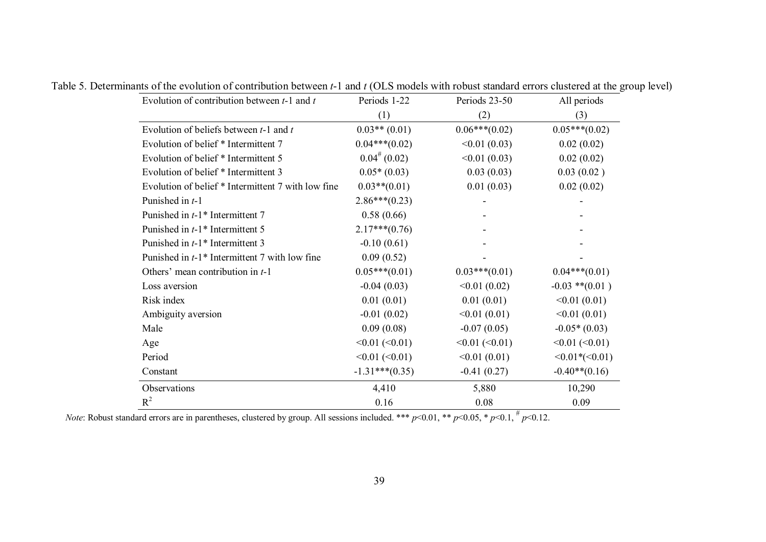| Evolution of contribution between $t-1$ and $t$             | Periods 1-22        | Periods 23-50       | All periods         |
|-------------------------------------------------------------|---------------------|---------------------|---------------------|
|                                                             | (1)                 | (2)                 | (3)                 |
| Evolution of beliefs between $t-1$ and $t$                  | $0.03**$ (0.01)     | $0.06***(0.02)$     | $0.05***(0.02)$     |
| Evolution of belief * Intermittent 7                        | $0.04***(0.02)$     | <0.01(0.03)         | 0.02(0.02)          |
| Evolution of belief * Intermittent 5                        | $0.04^{\#} (0.02)$  | <0.01(0.03)         | 0.02(0.02)          |
| Evolution of belief * Intermittent 3                        | $0.05*(0.03)$       | 0.03(0.03)          | 0.03(0.02)          |
| Evolution of belief * Intermittent 7 with low fine          | $0.03**$ (0.01)     | 0.01(0.03)          | 0.02(0.02)          |
| Punished in $t-1$                                           | $2.86***(0.23)$     |                     |                     |
| Punished in $t-1$ <sup>*</sup> Intermittent 7               | 0.58(0.66)          |                     |                     |
| Punished in t-1 <sup>*</sup> Intermittent 5                 | $2.17***(0.76)$     |                     |                     |
| Punished in $t-1$ <sup>*</sup> Intermittent 3               | $-0.10(0.61)$       |                     |                     |
| Punished in $t-1$ <sup>*</sup> Intermittent 7 with low fine | 0.09(0.52)          |                     |                     |
| Others' mean contribution in $t-1$                          | $0.05***(0.01)$     | $0.03***(0.01)$     | $0.04***(0.01)$     |
| Loss aversion                                               | $-0.04(0.03)$       | <0.01(0.02)         | $-0.03$ ** $(0.01)$ |
| Risk index                                                  | 0.01(0.01)          | 0.01(0.01)          | <0.01(0.01)         |
| Ambiguity aversion                                          | $-0.01(0.02)$       | <0.01(0.01)         | <0.01(0.01)         |
| Male                                                        | 0.09(0.08)          | $-0.07(0.05)$       | $-0.05*(0.03)$      |
| Age                                                         | $<0.01$ ( $<0.01$ ) | $<0.01$ ( $<0.01$ ) | $<0.01$ ( $<0.01$ ) |
| Period                                                      | $<0.01$ ( $<0.01$ ) | <0.01(0.01)         | $<0.01*(-0.01)$     |
| Constant                                                    | $-1.31***(0.35)$    | $-0.41(0.27)$       | $-0.40**$ (0.16)    |
| Observations                                                | 4,410               | 5,880               | 10,290              |
| $R^2$                                                       | 0.16                | 0.08                | 0.09                |

Table 5. Determinants of the evolution of contribution between *t*-1 and *t* (OLS models with robust standard errors clustered at the group level)

*Note*: Robust standard errors are in parentheses, clustered by group. All sessions included. \*\*\* *p*<0.01, \*\* *p*<0.05, \* *p*<0.1,  $\#$  *p*<0.12.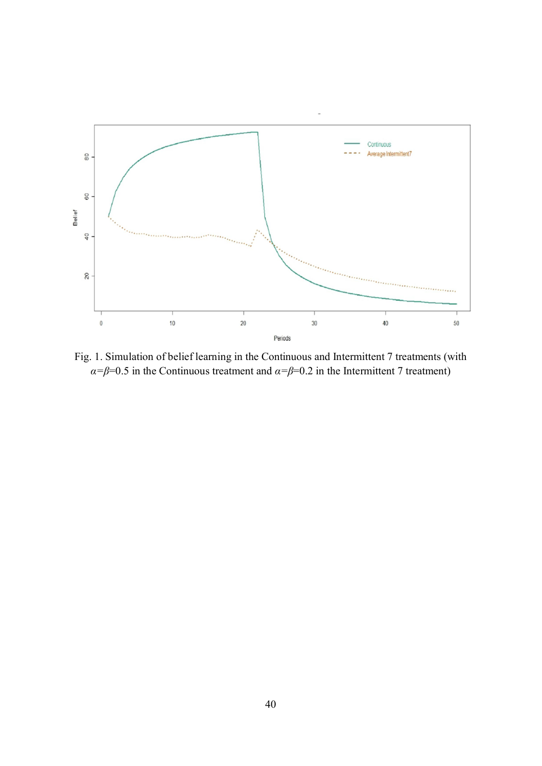

Fig. 1. Simulation of belief learning in the Continuous and Intermittent 7 treatments (with *α*= $\beta$ =0.5 in the Continuous treatment and *α*= $\beta$ =0.2 in the Intermittent 7 treatment)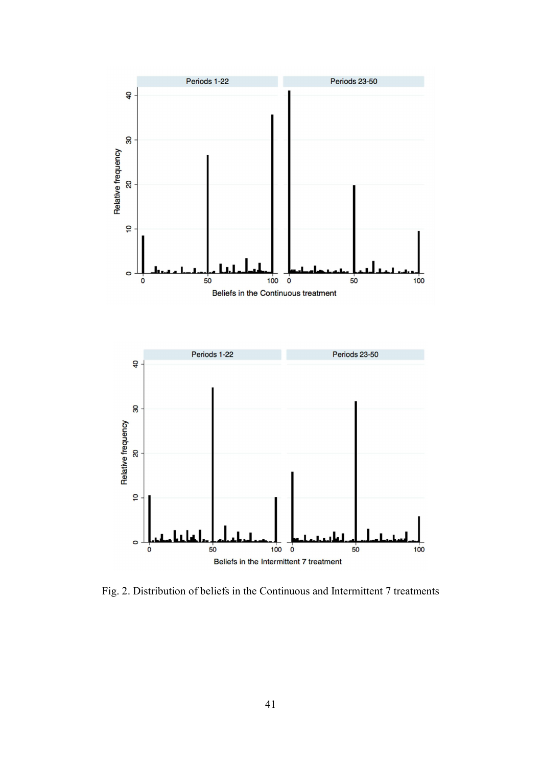

Fig. 2. Distribution of beliefs in the Continuous and Intermittent 7 treatments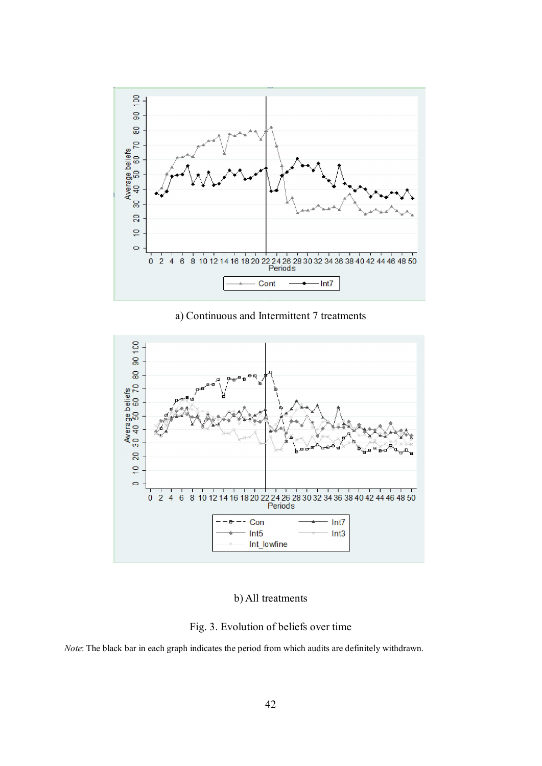

a) Continuous and Intermittent 7 treatments



# b) All treatments

Fig. 3. Evolution of beliefs over time

*Note*: The black bar in each graph indicates the period from which audits are definitely withdrawn.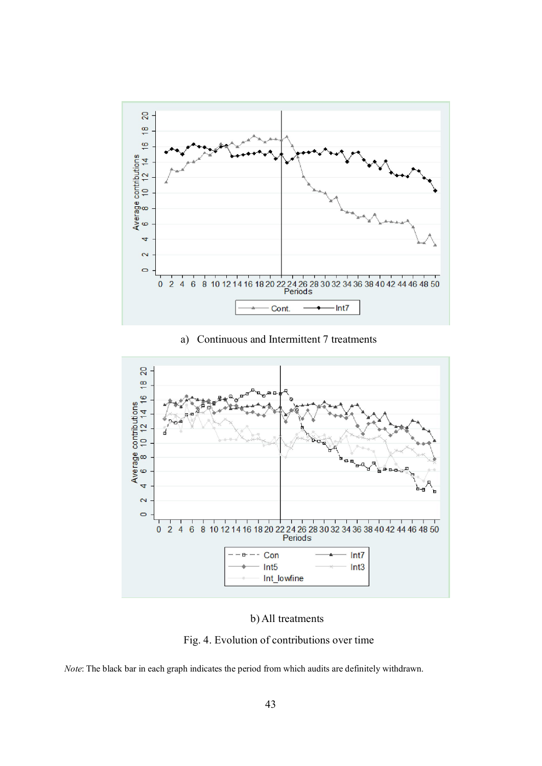

a) Continuous and Intermittent 7 treatments



b) All treatments

Fig. 4. Evolution of contributions over time

*Note*: The black bar in each graph indicates the period from which audits are definitely withdrawn.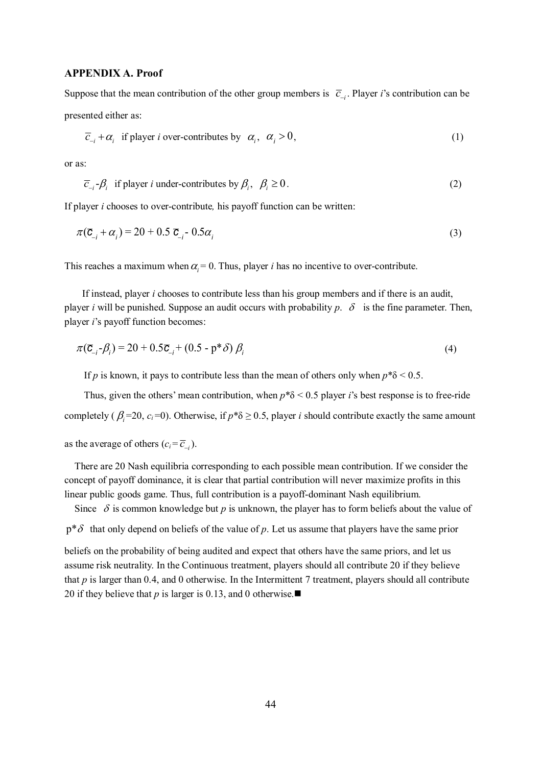#### APPENDIX A. Proof

Suppose that the mean contribution of the other group members is  $\overline{c}_{-i}$ . Player *i*'s contribution can be presented either as:

$$
\overline{c}_{-i} + \alpha_i \text{ if player } i \text{ over-contributes by } \alpha_i, \ \alpha_i > 0,\tag{1}
$$

or as:

$$
\overline{c}_{i} - \beta_{i} \text{ if player } i \text{ under-contributes by } \beta_{i}, \ \beta_{i} \ge 0. \tag{2}
$$

If player *i* chooses to over-contribute*,* his payoff function can be written:

$$
\pi(\overline{C}_{i} + \alpha_{i}) = 20 + 0.5 \overline{C}_{i} - 0.5\alpha_{i}
$$
\n(3)

This reaches a maximum when  $\alpha_i = 0$ . Thus, player *i* has no incentive to over-contribute.

If instead, player *i* chooses to contribute less than his group members and if there is an audit, player *i* will be punished. Suppose an audit occurs with probability  $p$ .  $\delta$  is the fine parameter. Then, player *i*'s payoff function becomes:

$$
\pi(\overline{\mathbf{C}}_{i} - \beta_{i}) = 20 + 0.5\overline{\mathbf{C}}_{i} + (0.5 - p \cdot \delta) \beta_{i}
$$
\n
$$
\tag{4}
$$

If *p* is known, it pays to contribute less than the mean of others only when  $p * \delta < 0.5$ .

Thus, given the others' mean contribution, when *p*\*δ < 0.5 player *i*'s best response is to free-ride completely ( $\beta_i$ =20,  $c_i$ =0). Otherwise, if  $p^*\delta \ge 0.5$ , player *i* should contribute exactly the same amount

as the average of others  $(c_i = \overline{c}_{-i})$ .

There are 20 Nash equilibria corresponding to each possible mean contribution. If we consider the concept of payoff dominance, it is clear that partial contribution will never maximize profits in this linear public goods game. Thus, full contribution is a payoff-dominant Nash equilibrium.

Since  $\delta$  is common knowledge but *p* is unknown, the player has to form beliefs about the value of

 $p^*\delta$  that only depend on beliefs of the value of p. Let us assume that players have the same prior

beliefs on the probability of being audited and expect that others have the same priors, and let us assume risk neutrality. In the Continuous treatment, players should all contribute 20 if they believe that *p* is larger than 0.4, and 0 otherwise. In the Intermittent 7 treatment, players should all contribute 20 if they believe that *p* is larger is 0.13, and 0 otherwise.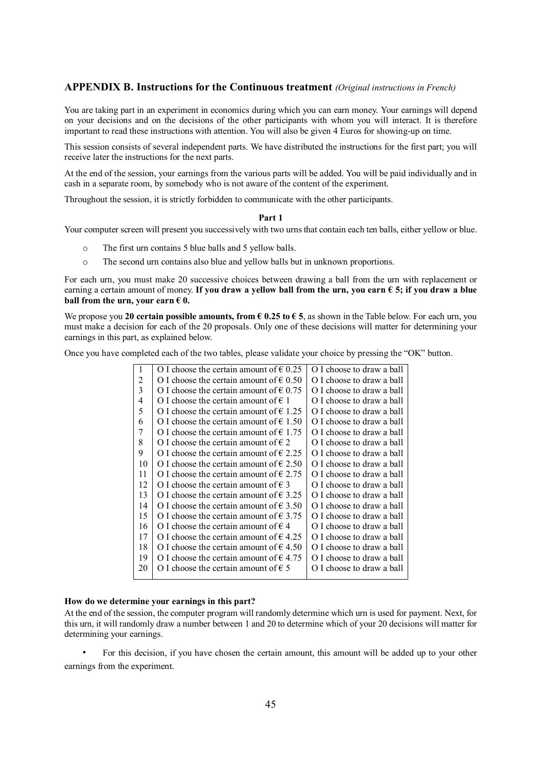#### APPENDIX B. Instructions for the Continuous treatment *(Original instructions in French)*

You are taking part in an experiment in economics during which you can earn money. Your earnings will depend on your decisions and on the decisions of the other participants with whom you will interact. It is therefore important to read these instructions with attention. You will also be given 4 Euros for showing-up on time.

This session consists of several independent parts. We have distributed the instructions for the first part; you will receive later the instructions for the next parts.

At the end of the session, your earnings from the various parts will be added. You will be paid individually and in cash in a separate room, by somebody who is not aware of the content of the experiment.

Throughout the session, it is strictly forbidden to communicate with the other participants.

#### Part 1

Your computer screen will present you successively with two urns that contain each ten balls, either yellow or blue.

- o The first urn contains 5 blue balls and 5 yellow balls.
- o The second urn contains also blue and yellow balls but in unknown proportions.

For each urn, you must make 20 successive choices between drawing a ball from the urn with replacement or earning a certain amount of money. If you draw a yellow ball from the urn, you earn  $\epsilon$  5; if you draw a blue ball from the urn, your earn  $\epsilon$  0.

We propose you 20 certain possible amounts, from  $\epsilon$  0.25 to  $\epsilon$  5, as shown in the Table below. For each urn, you must make a decision for each of the 20 proposals. Only one of these decisions will matter for determining your earnings in this part, as explained below.

Once you have completed each of the two tables, please validate your choice by pressing the "OK" button.

| 1  | O I choose the certain amount of $\in 0.25$      | O I choose to draw a ball |
|----|--------------------------------------------------|---------------------------|
| 2  | O I choose the certain amount of $\epsilon$ 0.50 | O I choose to draw a ball |
| 3  | O I choose the certain amount of $\epsilon$ 0.75 | O I choose to draw a ball |
| 4  | O I choose the certain amount of $\in$ 1         | O I choose to draw a ball |
| 5  | O I choose the certain amount of $\epsilon$ 1.25 | O I choose to draw a ball |
| 6  | O I choose the certain amount of $\in$ 1.50      | O I choose to draw a ball |
| 7  | O I choose the certain amount of $\epsilon$ 1.75 | O I choose to draw a ball |
| 8  | O I choose the certain amount of $\epsilon$ 2    | O I choose to draw a ball |
| 9  | O I choose the certain amount of $\epsilon$ 2.25 | O I choose to draw a ball |
| 10 | O I choose the certain amount of $\epsilon$ 2.50 | O I choose to draw a ball |
| 11 | O I choose the certain amount of $\epsilon$ 2.75 | O I choose to draw a ball |
| 12 | O I choose the certain amount of $\in$ 3         | O I choose to draw a ball |
| 13 | O I choose the certain amount of $\epsilon$ 3.25 | O I choose to draw a ball |
| 14 | O I choose the certain amount of $\epsilon$ 3.50 | O I choose to draw a ball |
| 15 | O I choose the certain amount of $\epsilon$ 3.75 | O I choose to draw a ball |
| 16 | O I choose the certain amount of $\in$ 4         | O I choose to draw a ball |
| 17 | O I choose the certain amount of $\epsilon$ 4.25 | O I choose to draw a ball |
| 18 | O I choose the certain amount of $\epsilon$ 4.50 | O I choose to draw a ball |
| 19 | O I choose the certain amount of $\epsilon$ 4.75 | O I choose to draw a ball |
| 20 | O I choose the certain amount of $\epsilon$ 5    | O I choose to draw a ball |
|    |                                                  |                           |

#### How do we determine your earnings in this part?

At the end of the session, the computer program will randomly determine which urn is used for payment. Next, for this urn, it will randomly draw a number between 1 and 20 to determine which of your 20 decisions will matter for determining your earnings.

• For this decision, if you have chosen the certain amount, this amount will be added up to your other earnings from the experiment.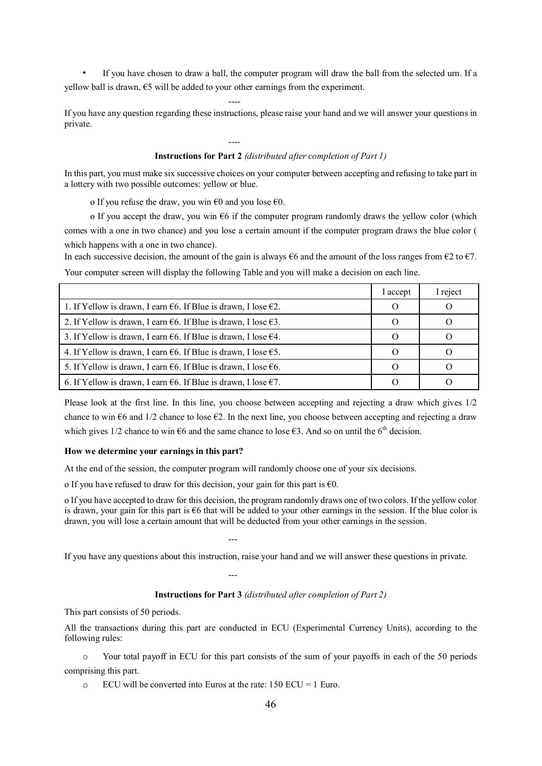• If you have chosen to draw a ball, the computer program will draw the ball from the selected urn. If a yellow ball is drawn,  $€5$  will be added to your other earnings from the experiment.

If you have any question regarding these instructions, please raise your hand and we will answer your questions in private.

----

----

#### Instructions for Part 2 *(distributed after completion of Part 1)*

In this part, you must make six successive choices on your computer between accepting and refusing to take part in a lottery with two possible outcomes: yellow or blue.

o If you refuse the draw, you win  $\epsilon$ 0 and you lose  $\epsilon$ 0.

o If you accept the draw, you win  $\epsilon$ 6 if the computer program randomly draws the yellow color (which comes with a one in two chance) and you lose a certain amount if the computer program draws the blue color ( which happens with a one in two chance).

In each successive decision, the amount of the gain is always  $66$  and the amount of the loss ranges from  $62$  to  $67$ . Your computer screen will display the following Table and you will make a decision on each line.

|                                                                                    | l accept | I reject |
|------------------------------------------------------------------------------------|----------|----------|
| 1. If Yellow is drawn, I earn $\epsilon$ 6. If Blue is drawn, I lose $\epsilon$ 2. |          |          |
| 2. If Yellow is drawn, I earn $\epsilon$ 6. If Blue is drawn, I lose $\epsilon$ 3. |          |          |
| 3. If Yellow is drawn, I earn $\epsilon$ 6. If Blue is drawn, I lose $\epsilon$ 4. |          |          |
| 4. If Yellow is drawn, I earn $66$ . If Blue is drawn, I lose $65$ .               |          |          |
| 5. If Yellow is drawn, I earn $\epsilon$ 6. If Blue is drawn, I lose $\epsilon$ 6. |          |          |
| 6. If Yellow is drawn, I earn €6. If Blue is drawn, I lose $€7$ .                  |          |          |

Please look at the first line. In this line, you choose between accepting and rejecting a draw which gives 1/2 chance to win  $66$  and  $1/2$  chance to lose  $62$ . In the next line, you choose between accepting and rejecting a draw which gives 1/2 chance to win  $\epsilon$ 6 and the same chance to lose  $\epsilon$ 3. And so on until the 6<sup>th</sup> decision.

#### How we determine your earnings in this part?

At the end of the session, the computer program will randomly choose one of your six decisions.

---

---

o If you have refused to draw for this decision, your gain for this part is  $\epsilon_0$ .

o If you have accepted to draw for this decision, the program randomly draws one of two colors. If the yellow color is drawn, your gain for this part is  $\epsilon$ 6 that will be added to your other earnings in the session. If the blue color is drawn, you will lose a certain amount that will be deducted from your other earnings in the session.

If you have any questions about this instruction, raise your hand and we will answer these questions in private.

#### Instructions for Part 3 *(distributed after completion of Part 2)*

This part consists of 50 periods.

All the transactions during this part are conducted in ECU (Experimental Currency Units), according to the following rules:

o Your total payoff in ECU for this part consists of the sum of your payoffs in each of the 50 periods comprising this part.

 $\circ$  ECU will be converted into Euros at the rate: 150 ECU = 1 Euro.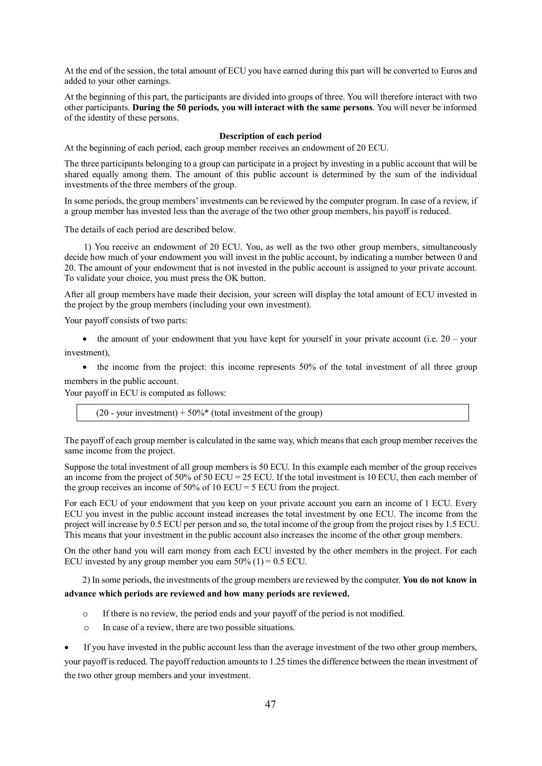At the end of the session, the total amount of ECU you have earned during this part will be converted to Euros and added to your other earnings.

At the beginning of this part, the participants are divided into groups of three. You will therefore interact with two other participants. During the 50 periods, you will interact with the same persons. You will never be informed of the identity of these persons.

#### Description of each period

At the beginning of each period, each group member receives an endowment of 20 ECU.

The three participants belonging to a group can participate in a project by investing in a public account that will be shared equally among them. The amount of this public account is determined by the sum of the individual investments of the three members of the group.

In some periods, the group members' investments can be reviewed by the computer program. In case of a review, if a group member has invested less than the average of the two other group members, his payoff is reduced.

The details of each period are described below.

1) You receive an endowment of 20 ECU. You, as well as the two other group members, simultaneously decide how much of your endowment you will invest in the public account, by indicating a number between 0 and 20. The amount of your endowment that is not invested in the public account is assigned to your private account. To validate your choice, you must press the OK button.

After all group members have made their decision, your screen will display the total amount of ECU invested in the project by the group members (including your own investment).

Your payoff consists of two parts:

 $\bullet$  the amount of your endowment that you have kept for yourself in your private account (i.e. 20 – your investment),

 $\bullet$  the income from the project: this income represents 50% of the total investment of all three group members in the public account.

Your payoff in ECU is computed as follows:

(20 - your investment) +  $50\%$ <sup>\*</sup> (total investment of the group)

The payoff of each group member is calculated in the same way, which means that each group member receives the same income from the project.

Suppose the total investment of all group members is 50 ECU. In this example each member of the group receives an income from the project of 50% of 50 ECU = 25 ECU. If the total investment is 10 ECU, then each member of the group receives an income of  $50\%$  of 10 ECU = 5 ECU from the project.

For each ECU of your endowment that you keep on your private account you earn an income of 1 ECU. Every ECU you invest in the public account instead increases the total investment by one ECU. The income from the project will increase by 0.5 ECU per person and so, the total income of the group from the project rises by 1.5 ECU. This means that your investment in the public account also increases the income of the other group members.

On the other hand you will earn money from each ECU invested by the other members in the project. For each ECU invested by any group member you earn  $50\%$  (1) = 0.5 ECU.

2) In some periods, the investments of the group members are reviewed by the computer. You do not know in advance which periods are reviewed and how many periods are reviewed.

- o If there is no review, the period ends and your payoff of the period is not modified.
- o In case of a review, there are two possible situations.

 If you have invested in the public account less than the average investment of the two other group members, your payoff is reduced. The payoff reduction amounts to 1.25 times the difference between the mean investment of the two other group members and your investment.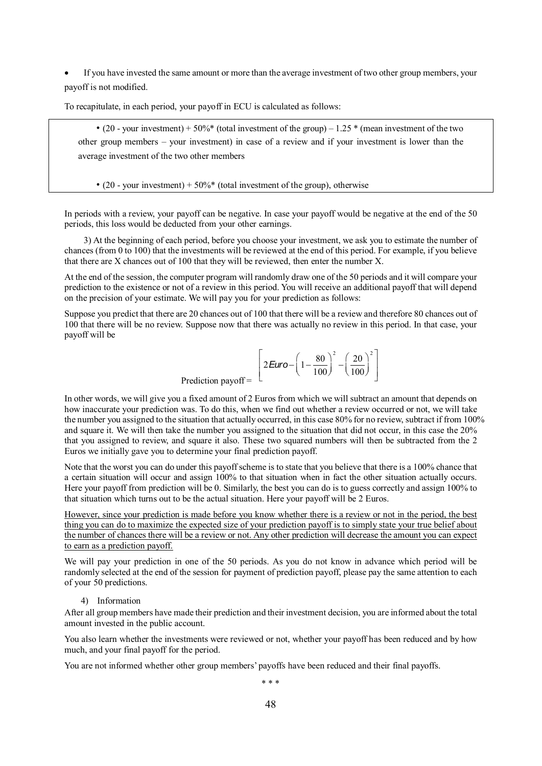If you have invested the same amount or more than the average investment of two other group members, your payoff is not modified.

To recapitulate, in each period, your payoff in ECU is calculated as follows:

• (20 - your investment) + 50%\* (total investment of the group) –  $1.25$  \* (mean investment of the two other group members – your investment) in case of a review and if your investment is lower than the average investment of the two other members

• (20 - your investment) +  $50\%$ <sup>\*</sup> (total investment of the group), otherwise

In periods with a review, your payoff can be negative. In case your payoff would be negative at the end of the 50 periods, this loss would be deducted from your other earnings.

3) At the beginning of each period, before you choose your investment, we ask you to estimate the number of chances (from 0 to 100) that the investments will be reviewed at the end of this period. For example, if you believe that there are X chances out of 100 that they will be reviewed, then enter the number X.

At the end of the session, the computer program will randomly draw one of the 50 periods and it will compare your prediction to the existence or not of a review in this period. You will receive an additional payoff that will depend on the precision of your estimate. We will pay you for your prediction as follows:

Suppose you predict that there are 20 chances out of 100 that there will be a review and therefore 80 chances out of 100 that there will be no review. Suppose now that there was actually no review in this period. In that case, your payoff will be

$$
V_{\text{Oiff}} = \left[2\text{Euro} - \left(1 - \frac{80}{100}\right)^2 - \left(\frac{20}{100}\right)^2\right]
$$

Prediction payoff

In other words, we will give you a fixed amount of 2 Euros from which we will subtract an amount that depends on how inaccurate your prediction was. To do this, when we find out whether a review occurred or not, we will take the number you assigned to the situation that actually occurred, in this case 80% for no review, subtract if from 100% and square it. We will then take the number you assigned to the situation that did not occur, in this case the 20% that you assigned to review, and square it also. These two squared numbers will then be subtracted from the 2 Euros we initially gave you to determine your final prediction payoff.

Note that the worst you can do under this payoff scheme is to state that you believe that there is a 100% chance that a certain situation will occur and assign 100% to that situation when in fact the other situation actually occurs. Here your payoff from prediction will be 0. Similarly, the best you can do is to guess correctly and assign 100% to that situation which turns out to be the actual situation. Here your payoff will be 2 Euros.

However, since your prediction is made before you know whether there is a review or not in the period, the best thing you can do to maximize the expected size of your prediction payoff is to simply state your true belief about the number of chances there will be a review or not. Any other prediction will decrease the amount you can expect to earn as a prediction payoff.

We will pay your prediction in one of the 50 periods. As you do not know in advance which period will be randomly selected at the end of the session for payment of prediction payoff, please pay the same attention to each of your 50 predictions.

#### 4) Information

After all group members have made their prediction and their investment decision, you are informed about the total amount invested in the public account.

You also learn whether the investments were reviewed or not, whether your payoff has been reduced and by how much, and your final payoff for the period.

You are not informed whether other group members' payoffs have been reduced and their final payoffs.

\* \* \*